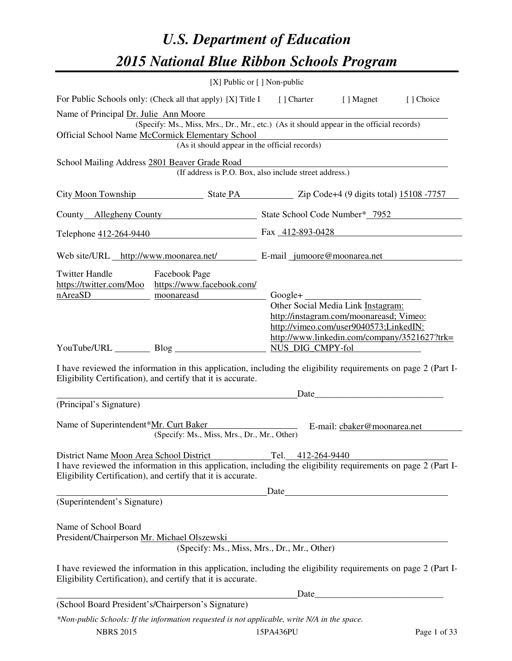# *U.S. Department of Education 2015 National Blue Ribbon Schools Program*

|                                                                     | [X] Public or [] Non-public                                                                                                                                                                   |                   |                                                                                                                                   |            |
|---------------------------------------------------------------------|-----------------------------------------------------------------------------------------------------------------------------------------------------------------------------------------------|-------------------|-----------------------------------------------------------------------------------------------------------------------------------|------------|
|                                                                     | For Public Schools only: (Check all that apply) [X] Title I [] Charter [] Magnet                                                                                                              |                   |                                                                                                                                   | [ ] Choice |
| Name of Principal Dr. Julie Ann Moore                               | (Specify: Ms., Miss, Mrs., Dr., Mr., etc.) (As it should appear in the official records)<br>Official School Name McCormick Elementary School<br>(As it should appear in the official records) |                   |                                                                                                                                   |            |
| School Mailing Address 2801 Beaver Grade Road                       |                                                                                                                                                                                               |                   |                                                                                                                                   |            |
|                                                                     | (If address is P.O. Box, also include street address.)                                                                                                                                        |                   |                                                                                                                                   |            |
|                                                                     | City Moon Township State PA Zip Code+4 (9 digits total) 15108 -7757                                                                                                                           |                   |                                                                                                                                   |            |
|                                                                     | County Allegheny County State School Code Number* 7952                                                                                                                                        |                   |                                                                                                                                   |            |
|                                                                     | Telephone 412-264-9440 Fax 412-893-0428                                                                                                                                                       |                   |                                                                                                                                   |            |
|                                                                     | Web site/URL http://www.moonarea.net/ E-mail jumoore@moonarea.net                                                                                                                             |                   |                                                                                                                                   |            |
| <b>Twitter Handle</b><br>https://twitter.com/Moo<br>nAreaSD         | <b>Facebook Page</b><br>https://www.facebook.com/<br>moonareasd                                                                                                                               |                   | $Google + \_$<br>Other Social Media Link Instagram:                                                                               |            |
|                                                                     | YouTube/URL Blog<br>I have reviewed the information in this application, including the eligibility requirements on page 2 (Part I-                                                            | NUS_DIG_CMPY-fol  | http://instagram.com/moonareasd; Vimeo:<br>http://vimeo.com/user9040573;LinkedIN:<br>http://www.linkedin.com/company/3521627?trk= |            |
|                                                                     | Eligibility Certification), and certify that it is accurate.                                                                                                                                  |                   |                                                                                                                                   |            |
| (Principal's Signature)                                             |                                                                                                                                                                                               |                   | Date                                                                                                                              |            |
| Name of Superintendent*Mr. Curt Baker                               | (Specify: Ms., Miss, Mrs., Dr., Mr., Other)                                                                                                                                                   |                   | E-mail: cbaker@moonarea.net                                                                                                       |            |
|                                                                     | District Name Moon Area School District                                                                                                                                                       | Tel. 412-264-9440 |                                                                                                                                   |            |
|                                                                     | I have reviewed the information in this application, including the eligibility requirements on page 2 (Part I-<br>Eligibility Certification), and certify that it is accurate.                |                   |                                                                                                                                   |            |
|                                                                     |                                                                                                                                                                                               | Date              |                                                                                                                                   |            |
| (Superintendent's Signature)                                        |                                                                                                                                                                                               |                   |                                                                                                                                   |            |
| Name of School Board<br>President/Chairperson Mr. Michael Olszewski | (Specify: Ms., Miss, Mrs., Dr., Mr., Other)                                                                                                                                                   |                   |                                                                                                                                   |            |
|                                                                     | I have reviewed the information in this application, including the eligibility requirements on page 2 (Part I-<br>Eligibility Certification), and certify that it is accurate.                |                   |                                                                                                                                   |            |
|                                                                     |                                                                                                                                                                                               | Date              |                                                                                                                                   |            |
|                                                                     | (School Board President's/Chairperson's Signature)                                                                                                                                            |                   |                                                                                                                                   |            |
|                                                                     | *Non-public Schools: If the information requested is not applicable, write N/A in the space.                                                                                                  |                   |                                                                                                                                   |            |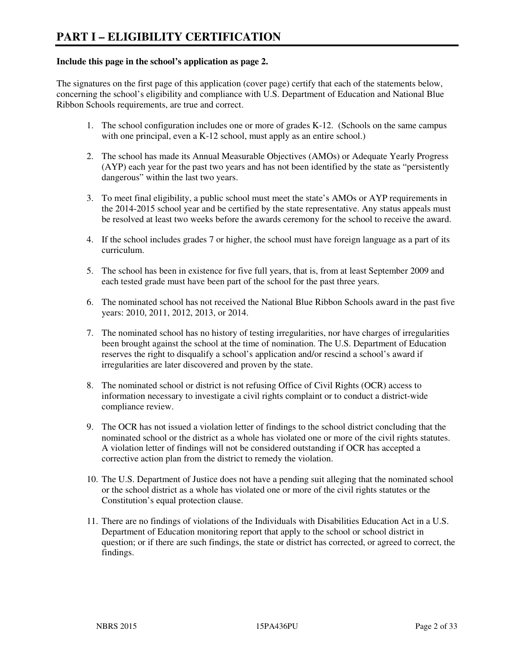#### **Include this page in the school's application as page 2.**

The signatures on the first page of this application (cover page) certify that each of the statements below, concerning the school's eligibility and compliance with U.S. Department of Education and National Blue Ribbon Schools requirements, are true and correct.

- 1. The school configuration includes one or more of grades K-12. (Schools on the same campus with one principal, even a K-12 school, must apply as an entire school.)
- 2. The school has made its Annual Measurable Objectives (AMOs) or Adequate Yearly Progress (AYP) each year for the past two years and has not been identified by the state as "persistently dangerous" within the last two years.
- 3. To meet final eligibility, a public school must meet the state's AMOs or AYP requirements in the 2014-2015 school year and be certified by the state representative. Any status appeals must be resolved at least two weeks before the awards ceremony for the school to receive the award.
- 4. If the school includes grades 7 or higher, the school must have foreign language as a part of its curriculum.
- 5. The school has been in existence for five full years, that is, from at least September 2009 and each tested grade must have been part of the school for the past three years.
- 6. The nominated school has not received the National Blue Ribbon Schools award in the past five years: 2010, 2011, 2012, 2013, or 2014.
- 7. The nominated school has no history of testing irregularities, nor have charges of irregularities been brought against the school at the time of nomination. The U.S. Department of Education reserves the right to disqualify a school's application and/or rescind a school's award if irregularities are later discovered and proven by the state.
- 8. The nominated school or district is not refusing Office of Civil Rights (OCR) access to information necessary to investigate a civil rights complaint or to conduct a district-wide compliance review.
- 9. The OCR has not issued a violation letter of findings to the school district concluding that the nominated school or the district as a whole has violated one or more of the civil rights statutes. A violation letter of findings will not be considered outstanding if OCR has accepted a corrective action plan from the district to remedy the violation.
- 10. The U.S. Department of Justice does not have a pending suit alleging that the nominated school or the school district as a whole has violated one or more of the civil rights statutes or the Constitution's equal protection clause.
- 11. There are no findings of violations of the Individuals with Disabilities Education Act in a U.S. Department of Education monitoring report that apply to the school or school district in question; or if there are such findings, the state or district has corrected, or agreed to correct, the findings.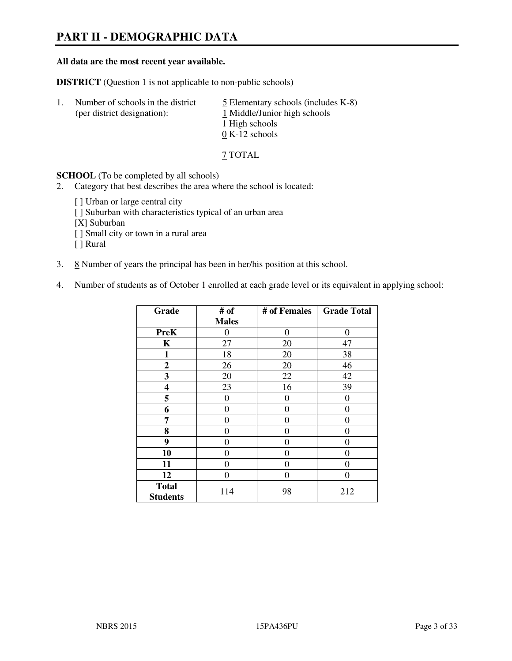# **PART II - DEMOGRAPHIC DATA**

#### **All data are the most recent year available.**

**DISTRICT** (Question 1 is not applicable to non-public schools)

| $\perp$ | Number of schools in the district<br>(per district designation): | $\overline{5}$ Elementary schools (includes K-8)<br>1 Middle/Junior high schools<br>1 High schools |
|---------|------------------------------------------------------------------|----------------------------------------------------------------------------------------------------|
|         |                                                                  | $0 K-12$ schools                                                                                   |

7 TOTAL

**SCHOOL** (To be completed by all schools)

- 2. Category that best describes the area where the school is located:
	- [ ] Urban or large central city
	- [ ] Suburban with characteristics typical of an urban area
	- [X] Suburban
	- [ ] Small city or town in a rural area
	- [ ] Rural
- 3.  $8$  Number of years the principal has been in her/his position at this school.
- 4. Number of students as of October 1 enrolled at each grade level or its equivalent in applying school:

| Grade                           | # of         | # of Females | <b>Grade Total</b> |
|---------------------------------|--------------|--------------|--------------------|
|                                 | <b>Males</b> |              |                    |
| <b>PreK</b>                     | $\theta$     | $\theta$     | $\theta$           |
| K                               | 27           | 20           | 47                 |
| 1                               | 18           | 20           | 38                 |
| $\mathbf{2}$                    | 26           | 20           | 46                 |
| 3                               | 20           | 22           | 42                 |
| 4                               | 23           | 16           | 39                 |
| 5                               | 0            | 0            | $\theta$           |
| 6                               | 0            | $\theta$     | 0                  |
| 7                               | 0            | $\theta$     | 0                  |
| 8                               | 0            | 0            | 0                  |
| 9                               | 0            | 0            | 0                  |
| 10                              | 0            | 0            | 0                  |
| 11                              | 0            | 0            | 0                  |
| 12                              | 0            | 0            | 0                  |
| <b>Total</b><br><b>Students</b> | 114          | 98           | 212                |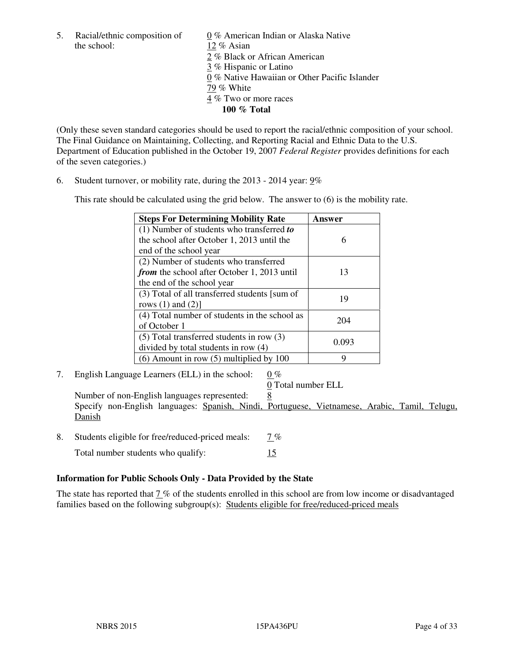the school: 12 % Asian

5. Racial/ethnic composition of 0 % American Indian or Alaska Native 2 % Black or African American 3 % Hispanic or Latino 0 % Native Hawaiian or Other Pacific Islander 79 % White 4 % Two or more races **100 % Total** 

(Only these seven standard categories should be used to report the racial/ethnic composition of your school. The Final Guidance on Maintaining, Collecting, and Reporting Racial and Ethnic Data to the U.S. Department of Education published in the October 19, 2007 *Federal Register* provides definitions for each of the seven categories.)

6. Student turnover, or mobility rate, during the 2013 - 2014 year: 9%

This rate should be calculated using the grid below. The answer to (6) is the mobility rate.

| <b>Steps For Determining Mobility Rate</b>         | Answer |
|----------------------------------------------------|--------|
| $(1)$ Number of students who transferred to        |        |
| the school after October 1, 2013 until the         | 6      |
| end of the school year                             |        |
| (2) Number of students who transferred             |        |
| <i>from</i> the school after October 1, 2013 until | 13     |
| the end of the school year                         |        |
| (3) Total of all transferred students [sum of      | 19     |
| rows $(1)$ and $(2)$ ]                             |        |
| (4) Total number of students in the school as      |        |
| of October 1                                       | 204    |
| $(5)$ Total transferred students in row $(3)$      |        |
| divided by total students in row (4)               | 0.093  |
| $(6)$ Amount in row $(5)$ multiplied by 100        | Q      |

7. English Language Learners (ELL) in the school: 0 %

0 Total number ELL

Number of non-English languages represented: 8 Specify non-English languages: Spanish, Nindi, Portuguese, Vietnamese, Arabic, Tamil, Telugu, Danish

- 8. Students eligible for free/reduced-priced meals:  $7\%$ 
	- Total number students who qualify: 15

## **Information for Public Schools Only - Data Provided by the State**

The state has reported that  $\frac{7}{8}$  of the students enrolled in this school are from low income or disadvantaged families based on the following subgroup(s): Students eligible for free/reduced-priced meals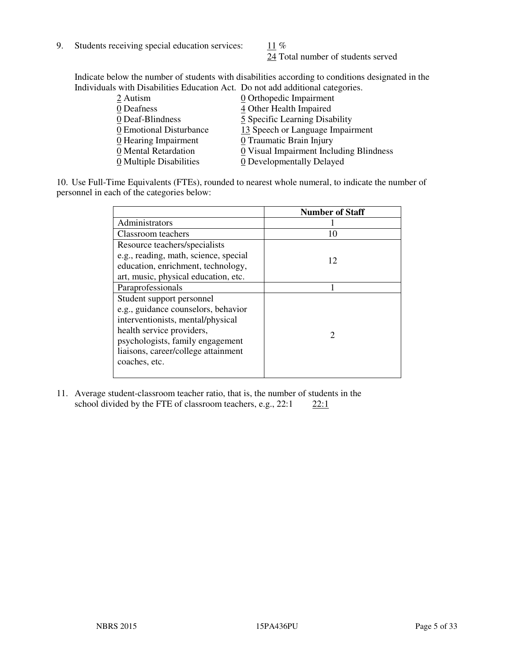9. Students receiving special education services:  $11\%$ 

24 Total number of students served

Indicate below the number of students with disabilities according to conditions designated in the Individuals with Disabilities Education Act. Do not add additional categories.

| 0 Orthopedic Impairment                                         |
|-----------------------------------------------------------------|
| 4 Other Health Impaired                                         |
| 5 Specific Learning Disability                                  |
| 13 Speech or Language Impairment<br>0 Emotional Disturbance     |
| $\underline{0}$ Hearing Impairment<br>0 Traumatic Brain Injury  |
| 0 Visual Impairment Including Blindness<br>0 Mental Retardation |
| 0 Multiple Disabilities<br>0 Developmentally Delayed            |
|                                                                 |

10. Use Full-Time Equivalents (FTEs), rounded to nearest whole numeral, to indicate the number of personnel in each of the categories below:

|                                       | <b>Number of Staff</b> |
|---------------------------------------|------------------------|
| Administrators                        |                        |
| Classroom teachers                    | 10                     |
| Resource teachers/specialists         |                        |
| e.g., reading, math, science, special | 12                     |
| education, enrichment, technology,    |                        |
| art, music, physical education, etc.  |                        |
| Paraprofessionals                     |                        |
| Student support personnel             |                        |
| e.g., guidance counselors, behavior   |                        |
| interventionists, mental/physical     |                        |
| health service providers,             | 2                      |
| psychologists, family engagement      |                        |
| liaisons, career/college attainment   |                        |
| coaches, etc.                         |                        |
|                                       |                        |

11. Average student-classroom teacher ratio, that is, the number of students in the school divided by the FTE of classroom teachers, e.g.,  $22:1$   $22:1$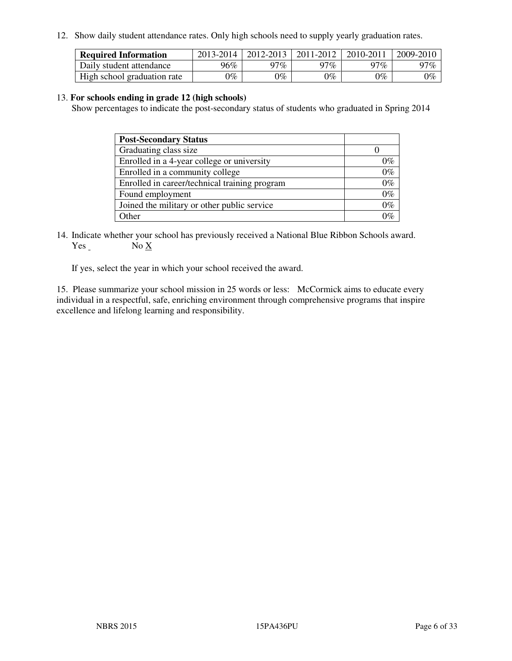12. Show daily student attendance rates. Only high schools need to supply yearly graduation rates.

| <b>Required Information</b> | 2013-2014 | 2012-2013 | 2011-2012 | 2010-2011 | 2009-2010 |
|-----------------------------|-----------|-----------|-----------|-----------|-----------|
| Daily student attendance    | 96%       | 97%       | 97%       | $77\%$    | 97%       |
| High school graduation rate | 9%        | $0\%$     | $0\%$     | 0%        | $0\%$     |

#### 13. **For schools ending in grade 12 (high schools)**

Show percentages to indicate the post-secondary status of students who graduated in Spring 2014

| <b>Post-Secondary Status</b>                  |       |
|-----------------------------------------------|-------|
| Graduating class size                         |       |
| Enrolled in a 4-year college or university    | 0%    |
| Enrolled in a community college               | $0\%$ |
| Enrolled in career/technical training program | $0\%$ |
| Found employment                              | $0\%$ |
| Joined the military or other public service   | $0\%$ |
| Other                                         | ነር    |

14. Indicate whether your school has previously received a National Blue Ribbon Schools award. Yes No X

If yes, select the year in which your school received the award.

15. Please summarize your school mission in 25 words or less: McCormick aims to educate every individual in a respectful, safe, enriching environment through comprehensive programs that inspire excellence and lifelong learning and responsibility.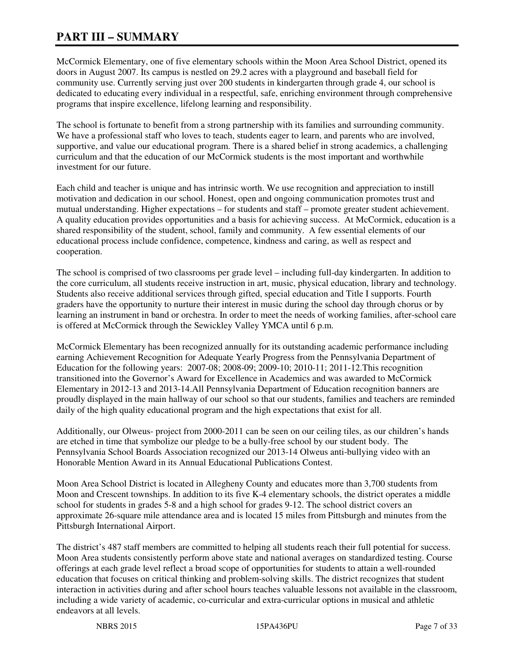# **PART III – SUMMARY**

McCormick Elementary, one of five elementary schools within the Moon Area School District, opened its doors in August 2007. Its campus is nestled on 29.2 acres with a playground and baseball field for community use. Currently serving just over 200 students in kindergarten through grade 4, our school is dedicated to educating every individual in a respectful, safe, enriching environment through comprehensive programs that inspire excellence, lifelong learning and responsibility.

The school is fortunate to benefit from a strong partnership with its families and surrounding community. We have a professional staff who loves to teach, students eager to learn, and parents who are involved, supportive, and value our educational program. There is a shared belief in strong academics, a challenging curriculum and that the education of our McCormick students is the most important and worthwhile investment for our future.

Each child and teacher is unique and has intrinsic worth. We use recognition and appreciation to instill motivation and dedication in our school. Honest, open and ongoing communication promotes trust and mutual understanding. Higher expectations – for students and staff – promote greater student achievement. A quality education provides opportunities and a basis for achieving success. At McCormick, education is a shared responsibility of the student, school, family and community. A few essential elements of our educational process include confidence, competence, kindness and caring, as well as respect and cooperation.

The school is comprised of two classrooms per grade level – including full-day kindergarten. In addition to the core curriculum, all students receive instruction in art, music, physical education, library and technology. Students also receive additional services through gifted, special education and Title I supports. Fourth graders have the opportunity to nurture their interest in music during the school day through chorus or by learning an instrument in band or orchestra. In order to meet the needs of working families, after-school care is offered at McCormick through the Sewickley Valley YMCA until 6 p.m.

McCormick Elementary has been recognized annually for its outstanding academic performance including earning Achievement Recognition for Adequate Yearly Progress from the Pennsylvania Department of Education for the following years: 2007-08; 2008-09; 2009-10; 2010-11; 2011-12.This recognition transitioned into the Governor's Award for Excellence in Academics and was awarded to McCormick Elementary in 2012-13 and 2013-14.All Pennsylvania Department of Education recognition banners are proudly displayed in the main hallway of our school so that our students, families and teachers are reminded daily of the high quality educational program and the high expectations that exist for all.

Additionally, our Olweus- project from 2000-2011 can be seen on our ceiling tiles, as our children's hands are etched in time that symbolize our pledge to be a bully-free school by our student body. The Pennsylvania School Boards Association recognized our 2013-14 Olweus anti-bullying video with an Honorable Mention Award in its Annual Educational Publications Contest.

Moon Area School District is located in Allegheny County and educates more than 3,700 students from Moon and Crescent townships. In addition to its five K-4 elementary schools, the district operates a middle school for students in grades 5-8 and a high school for grades 9-12. The school district covers an approximate 26-square mile attendance area and is located 15 miles from Pittsburgh and minutes from the Pittsburgh International Airport.

The district's 487 staff members are committed to helping all students reach their full potential for success. Moon Area students consistently perform above state and national averages on standardized testing. Course offerings at each grade level reflect a broad scope of opportunities for students to attain a well-rounded education that focuses on critical thinking and problem-solving skills. The district recognizes that student interaction in activities during and after school hours teaches valuable lessons not available in the classroom, including a wide variety of academic, co-curricular and extra-curricular options in musical and athletic endeavors at all levels.

NBRS 2015 15PA436PU Page 7 of 33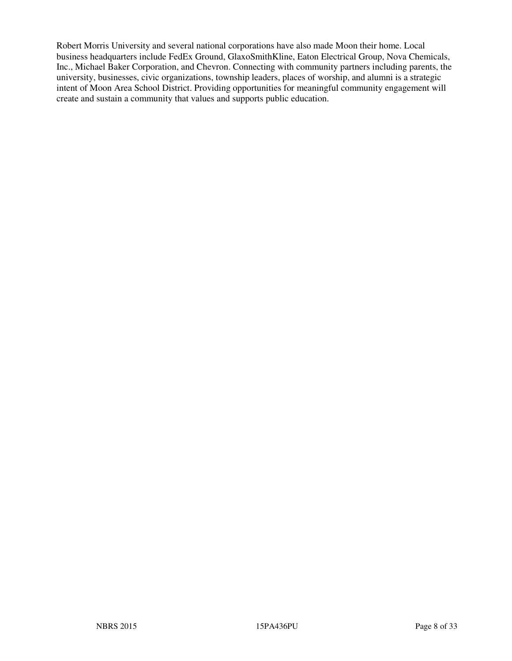Robert Morris University and several national corporations have also made Moon their home. Local business headquarters include FedEx Ground, GlaxoSmithKline, Eaton Electrical Group, Nova Chemicals, Inc., Michael Baker Corporation, and Chevron. Connecting with community partners including parents, the university, businesses, civic organizations, township leaders, places of worship, and alumni is a strategic intent of Moon Area School District. Providing opportunities for meaningful community engagement will create and sustain a community that values and supports public education.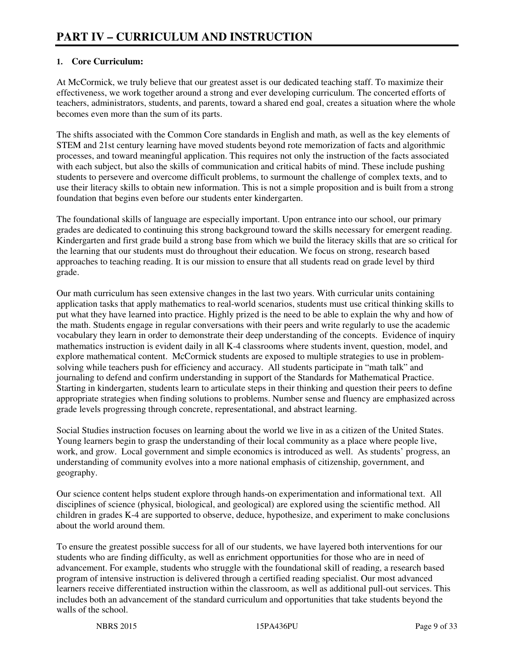## **1. Core Curriculum:**

At McCormick, we truly believe that our greatest asset is our dedicated teaching staff. To maximize their effectiveness, we work together around a strong and ever developing curriculum. The concerted efforts of teachers, administrators, students, and parents, toward a shared end goal, creates a situation where the whole becomes even more than the sum of its parts.

The shifts associated with the Common Core standards in English and math, as well as the key elements of STEM and 21st century learning have moved students beyond rote memorization of facts and algorithmic processes, and toward meaningful application. This requires not only the instruction of the facts associated with each subject, but also the skills of communication and critical habits of mind. These include pushing students to persevere and overcome difficult problems, to surmount the challenge of complex texts, and to use their literacy skills to obtain new information. This is not a simple proposition and is built from a strong foundation that begins even before our students enter kindergarten.

The foundational skills of language are especially important. Upon entrance into our school, our primary grades are dedicated to continuing this strong background toward the skills necessary for emergent reading. Kindergarten and first grade build a strong base from which we build the literacy skills that are so critical for the learning that our students must do throughout their education. We focus on strong, research based approaches to teaching reading. It is our mission to ensure that all students read on grade level by third grade.

Our math curriculum has seen extensive changes in the last two years. With curricular units containing application tasks that apply mathematics to real-world scenarios, students must use critical thinking skills to put what they have learned into practice. Highly prized is the need to be able to explain the why and how of the math. Students engage in regular conversations with their peers and write regularly to use the academic vocabulary they learn in order to demonstrate their deep understanding of the concepts. Evidence of inquiry mathematics instruction is evident daily in all K-4 classrooms where students invent, question, model, and explore mathematical content. McCormick students are exposed to multiple strategies to use in problemsolving while teachers push for efficiency and accuracy. All students participate in "math talk" and journaling to defend and confirm understanding in support of the Standards for Mathematical Practice. Starting in kindergarten, students learn to articulate steps in their thinking and question their peers to define appropriate strategies when finding solutions to problems. Number sense and fluency are emphasized across grade levels progressing through concrete, representational, and abstract learning.

Social Studies instruction focuses on learning about the world we live in as a citizen of the United States. Young learners begin to grasp the understanding of their local community as a place where people live, work, and grow. Local government and simple economics is introduced as well. As students' progress, an understanding of community evolves into a more national emphasis of citizenship, government, and geography.

Our science content helps student explore through hands-on experimentation and informational text. All disciplines of science (physical, biological, and geological) are explored using the scientific method. All children in grades K-4 are supported to observe, deduce, hypothesize, and experiment to make conclusions about the world around them.

To ensure the greatest possible success for all of our students, we have layered both interventions for our students who are finding difficulty, as well as enrichment opportunities for those who are in need of advancement. For example, students who struggle with the foundational skill of reading, a research based program of intensive instruction is delivered through a certified reading specialist. Our most advanced learners receive differentiated instruction within the classroom, as well as additional pull-out services. This includes both an advancement of the standard curriculum and opportunities that take students beyond the walls of the school.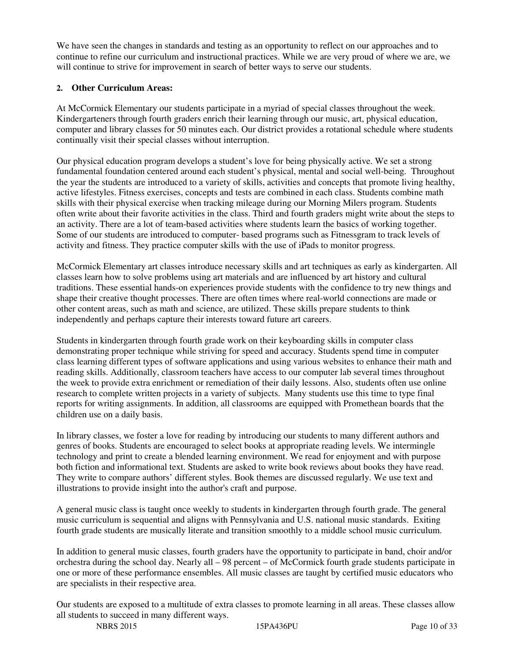We have seen the changes in standards and testing as an opportunity to reflect on our approaches and to continue to refine our curriculum and instructional practices. While we are very proud of where we are, we will continue to strive for improvement in search of better ways to serve our students.

### **2. Other Curriculum Areas:**

At McCormick Elementary our students participate in a myriad of special classes throughout the week. Kindergarteners through fourth graders enrich their learning through our music, art, physical education, computer and library classes for 50 minutes each. Our district provides a rotational schedule where students continually visit their special classes without interruption.

Our physical education program develops a student's love for being physically active. We set a strong fundamental foundation centered around each student's physical, mental and social well-being. Throughout the year the students are introduced to a variety of skills, activities and concepts that promote living healthy, active lifestyles. Fitness exercises, concepts and tests are combined in each class. Students combine math skills with their physical exercise when tracking mileage during our Morning Milers program. Students often write about their favorite activities in the class. Third and fourth graders might write about the steps to an activity. There are a lot of team-based activities where students learn the basics of working together. Some of our students are introduced to computer- based programs such as Fitnessgram to track levels of activity and fitness. They practice computer skills with the use of iPads to monitor progress.

McCormick Elementary art classes introduce necessary skills and art techniques as early as kindergarten. All classes learn how to solve problems using art materials and are influenced by art history and cultural traditions. These essential hands-on experiences provide students with the confidence to try new things and shape their creative thought processes. There are often times where real-world connections are made or other content areas, such as math and science, are utilized. These skills prepare students to think independently and perhaps capture their interests toward future art careers.

Students in kindergarten through fourth grade work on their keyboarding skills in computer class demonstrating proper technique while striving for speed and accuracy. Students spend time in computer class learning different types of software applications and using various websites to enhance their math and reading skills. Additionally, classroom teachers have access to our computer lab several times throughout the week to provide extra enrichment or remediation of their daily lessons. Also, students often use online research to complete written projects in a variety of subjects. Many students use this time to type final reports for writing assignments. In addition, all classrooms are equipped with Promethean boards that the children use on a daily basis.

In library classes, we foster a love for reading by introducing our students to many different authors and genres of books. Students are encouraged to select books at appropriate reading levels. We intermingle technology and print to create a blended learning environment. We read for enjoyment and with purpose both fiction and informational text. Students are asked to write book reviews about books they have read. They write to compare authors' different styles. Book themes are discussed regularly. We use text and illustrations to provide insight into the author's craft and purpose.

A general music class is taught once weekly to students in kindergarten through fourth grade. The general music curriculum is sequential and aligns with Pennsylvania and U.S. national music standards. Exiting fourth grade students are musically literate and transition smoothly to a middle school music curriculum.

In addition to general music classes, fourth graders have the opportunity to participate in band, choir and/or orchestra during the school day. Nearly all – 98 percent – of McCormick fourth grade students participate in one or more of these performance ensembles. All music classes are taught by certified music educators who are specialists in their respective area.

Our students are exposed to a multitude of extra classes to promote learning in all areas. These classes allow all students to succeed in many different ways.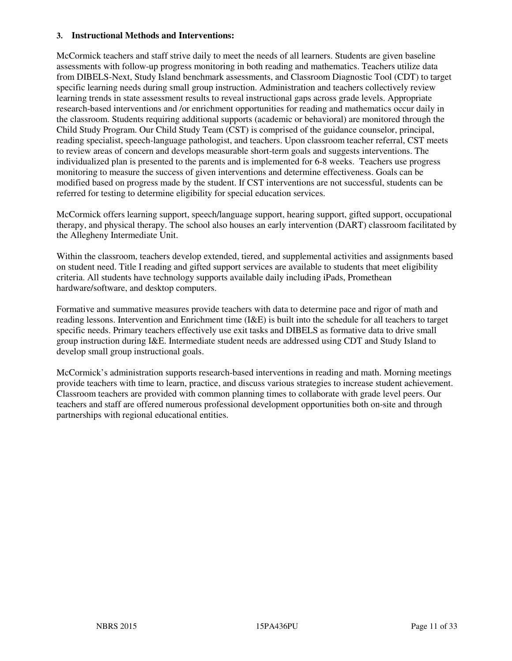#### **3. Instructional Methods and Interventions:**

McCormick teachers and staff strive daily to meet the needs of all learners. Students are given baseline assessments with follow-up progress monitoring in both reading and mathematics. Teachers utilize data from DIBELS-Next, Study Island benchmark assessments, and Classroom Diagnostic Tool (CDT) to target specific learning needs during small group instruction. Administration and teachers collectively review learning trends in state assessment results to reveal instructional gaps across grade levels. Appropriate research-based interventions and /or enrichment opportunities for reading and mathematics occur daily in the classroom. Students requiring additional supports (academic or behavioral) are monitored through the Child Study Program. Our Child Study Team (CST) is comprised of the guidance counselor, principal, reading specialist, speech-language pathologist, and teachers. Upon classroom teacher referral, CST meets to review areas of concern and develops measurable short-term goals and suggests interventions. The individualized plan is presented to the parents and is implemented for 6-8 weeks. Teachers use progress monitoring to measure the success of given interventions and determine effectiveness. Goals can be modified based on progress made by the student. If CST interventions are not successful, students can be referred for testing to determine eligibility for special education services.

McCormick offers learning support, speech/language support, hearing support, gifted support, occupational therapy, and physical therapy. The school also houses an early intervention (DART) classroom facilitated by the Allegheny Intermediate Unit.

Within the classroom, teachers develop extended, tiered, and supplemental activities and assignments based on student need. Title I reading and gifted support services are available to students that meet eligibility criteria. All students have technology supports available daily including iPads, Promethean hardware/software, and desktop computers.

Formative and summative measures provide teachers with data to determine pace and rigor of math and reading lessons. Intervention and Enrichment time (I&E) is built into the schedule for all teachers to target specific needs. Primary teachers effectively use exit tasks and DIBELS as formative data to drive small group instruction during I&E. Intermediate student needs are addressed using CDT and Study Island to develop small group instructional goals.

McCormick's administration supports research-based interventions in reading and math. Morning meetings provide teachers with time to learn, practice, and discuss various strategies to increase student achievement. Classroom teachers are provided with common planning times to collaborate with grade level peers. Our teachers and staff are offered numerous professional development opportunities both on-site and through partnerships with regional educational entities.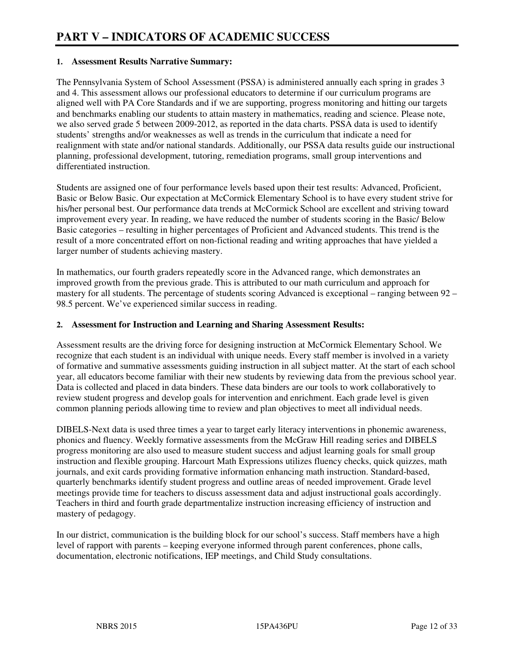#### **1. Assessment Results Narrative Summary:**

The Pennsylvania System of School Assessment (PSSA) is administered annually each spring in grades 3 and 4. This assessment allows our professional educators to determine if our curriculum programs are aligned well with PA Core Standards and if we are supporting, progress monitoring and hitting our targets and benchmarks enabling our students to attain mastery in mathematics, reading and science. Please note, we also served grade 5 between 2009-2012, as reported in the data charts. PSSA data is used to identify students' strengths and/or weaknesses as well as trends in the curriculum that indicate a need for realignment with state and/or national standards. Additionally, our PSSA data results guide our instructional planning, professional development, tutoring, remediation programs, small group interventions and differentiated instruction.

Students are assigned one of four performance levels based upon their test results: Advanced, Proficient, Basic or Below Basic. Our expectation at McCormick Elementary School is to have every student strive for his/her personal best. Our performance data trends at McCormick School are excellent and striving toward improvement every year. In reading, we have reduced the number of students scoring in the Basic/ Below Basic categories – resulting in higher percentages of Proficient and Advanced students. This trend is the result of a more concentrated effort on non-fictional reading and writing approaches that have yielded a larger number of students achieving mastery.

In mathematics, our fourth graders repeatedly score in the Advanced range, which demonstrates an improved growth from the previous grade. This is attributed to our math curriculum and approach for mastery for all students. The percentage of students scoring Advanced is exceptional – ranging between 92 – 98.5 percent. We've experienced similar success in reading.

#### **2. Assessment for Instruction and Learning and Sharing Assessment Results:**

Assessment results are the driving force for designing instruction at McCormick Elementary School. We recognize that each student is an individual with unique needs. Every staff member is involved in a variety of formative and summative assessments guiding instruction in all subject matter. At the start of each school year, all educators become familiar with their new students by reviewing data from the previous school year. Data is collected and placed in data binders. These data binders are our tools to work collaboratively to review student progress and develop goals for intervention and enrichment. Each grade level is given common planning periods allowing time to review and plan objectives to meet all individual needs.

DIBELS-Next data is used three times a year to target early literacy interventions in phonemic awareness, phonics and fluency. Weekly formative assessments from the McGraw Hill reading series and DIBELS progress monitoring are also used to measure student success and adjust learning goals for small group instruction and flexible grouping. Harcourt Math Expressions utilizes fluency checks, quick quizzes, math journals, and exit cards providing formative information enhancing math instruction. Standard-based, quarterly benchmarks identify student progress and outline areas of needed improvement. Grade level meetings provide time for teachers to discuss assessment data and adjust instructional goals accordingly. Teachers in third and fourth grade departmentalize instruction increasing efficiency of instruction and mastery of pedagogy.

In our district, communication is the building block for our school's success. Staff members have a high level of rapport with parents – keeping everyone informed through parent conferences, phone calls, documentation, electronic notifications, IEP meetings, and Child Study consultations.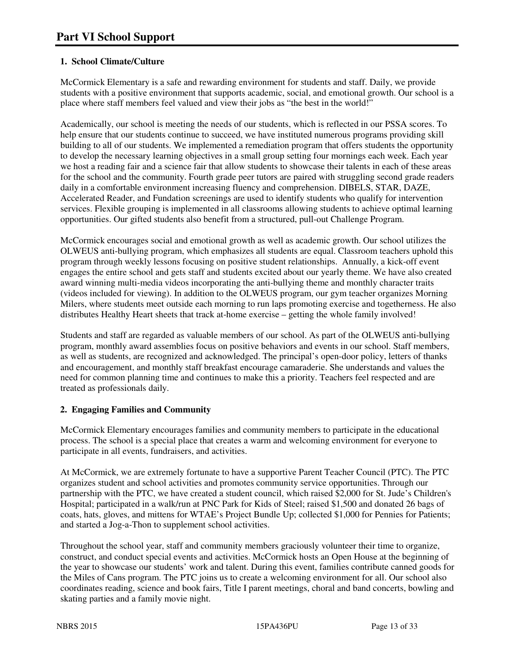## **1. School Climate/Culture**

McCormick Elementary is a safe and rewarding environment for students and staff. Daily, we provide students with a positive environment that supports academic, social, and emotional growth. Our school is a place where staff members feel valued and view their jobs as "the best in the world!"

Academically, our school is meeting the needs of our students, which is reflected in our PSSA scores. To help ensure that our students continue to succeed, we have instituted numerous programs providing skill building to all of our students. We implemented a remediation program that offers students the opportunity to develop the necessary learning objectives in a small group setting four mornings each week. Each year we host a reading fair and a science fair that allow students to showcase their talents in each of these areas for the school and the community. Fourth grade peer tutors are paired with struggling second grade readers daily in a comfortable environment increasing fluency and comprehension. DIBELS, STAR, DAZE, Accelerated Reader, and Fundation screenings are used to identify students who qualify for intervention services. Flexible grouping is implemented in all classrooms allowing students to achieve optimal learning opportunities. Our gifted students also benefit from a structured, pull-out Challenge Program.

McCormick encourages social and emotional growth as well as academic growth. Our school utilizes the OLWEUS anti-bullying program, which emphasizes all students are equal. Classroom teachers uphold this program through weekly lessons focusing on positive student relationships. Annually, a kick-off event engages the entire school and gets staff and students excited about our yearly theme. We have also created award winning multi-media videos incorporating the anti-bullying theme and monthly character traits (videos included for viewing). In addition to the OLWEUS program, our gym teacher organizes Morning Milers, where students meet outside each morning to run laps promoting exercise and togetherness. He also distributes Healthy Heart sheets that track at-home exercise – getting the whole family involved!

Students and staff are regarded as valuable members of our school. As part of the OLWEUS anti-bullying program, monthly award assemblies focus on positive behaviors and events in our school. Staff members, as well as students, are recognized and acknowledged. The principal's open-door policy, letters of thanks and encouragement, and monthly staff breakfast encourage camaraderie. She understands and values the need for common planning time and continues to make this a priority. Teachers feel respected and are treated as professionals daily.

## **2. Engaging Families and Community**

McCormick Elementary encourages families and community members to participate in the educational process. The school is a special place that creates a warm and welcoming environment for everyone to participate in all events, fundraisers, and activities.

At McCormick, we are extremely fortunate to have a supportive Parent Teacher Council (PTC). The PTC organizes student and school activities and promotes community service opportunities. Through our partnership with the PTC, we have created a student council, which raised \$2,000 for St. Jude's Children's Hospital; participated in a walk/run at PNC Park for Kids of Steel; raised \$1,500 and donated 26 bags of coats, hats, gloves, and mittens for WTAE's Project Bundle Up; collected \$1,000 for Pennies for Patients; and started a Jog-a-Thon to supplement school activities.

Throughout the school year, staff and community members graciously volunteer their time to organize, construct, and conduct special events and activities. McCormick hosts an Open House at the beginning of the year to showcase our students' work and talent. During this event, families contribute canned goods for the Miles of Cans program. The PTC joins us to create a welcoming environment for all. Our school also coordinates reading, science and book fairs, Title I parent meetings, choral and band concerts, bowling and skating parties and a family movie night.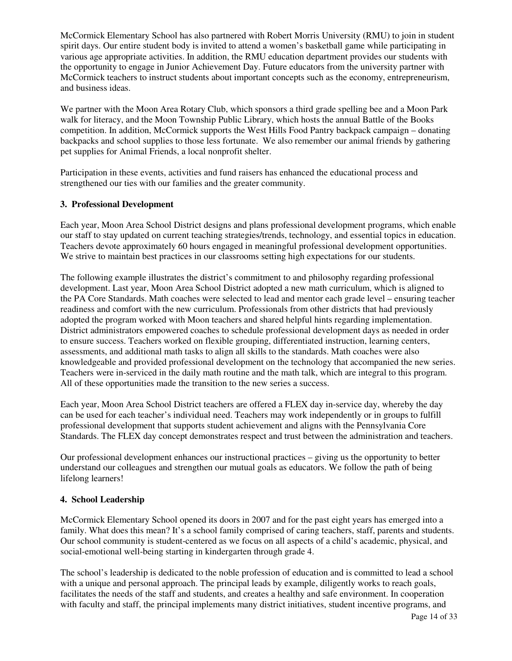McCormick Elementary School has also partnered with Robert Morris University (RMU) to join in student spirit days. Our entire student body is invited to attend a women's basketball game while participating in various age appropriate activities. In addition, the RMU education department provides our students with the opportunity to engage in Junior Achievement Day. Future educators from the university partner with McCormick teachers to instruct students about important concepts such as the economy, entrepreneurism, and business ideas.

We partner with the Moon Area Rotary Club, which sponsors a third grade spelling bee and a Moon Park walk for literacy, and the Moon Township Public Library, which hosts the annual Battle of the Books competition. In addition, McCormick supports the West Hills Food Pantry backpack campaign – donating backpacks and school supplies to those less fortunate. We also remember our animal friends by gathering pet supplies for Animal Friends, a local nonprofit shelter.

Participation in these events, activities and fund raisers has enhanced the educational process and strengthened our ties with our families and the greater community.

#### **3. Professional Development**

Each year, Moon Area School District designs and plans professional development programs, which enable our staff to stay updated on current teaching strategies/trends, technology, and essential topics in education. Teachers devote approximately 60 hours engaged in meaningful professional development opportunities. We strive to maintain best practices in our classrooms setting high expectations for our students.

The following example illustrates the district's commitment to and philosophy regarding professional development. Last year, Moon Area School District adopted a new math curriculum, which is aligned to the PA Core Standards. Math coaches were selected to lead and mentor each grade level – ensuring teacher readiness and comfort with the new curriculum. Professionals from other districts that had previously adopted the program worked with Moon teachers and shared helpful hints regarding implementation. District administrators empowered coaches to schedule professional development days as needed in order to ensure success. Teachers worked on flexible grouping, differentiated instruction, learning centers, assessments, and additional math tasks to align all skills to the standards. Math coaches were also knowledgeable and provided professional development on the technology that accompanied the new series. Teachers were in-serviced in the daily math routine and the math talk, which are integral to this program. All of these opportunities made the transition to the new series a success.

Each year, Moon Area School District teachers are offered a FLEX day in-service day, whereby the day can be used for each teacher's individual need. Teachers may work independently or in groups to fulfill professional development that supports student achievement and aligns with the Pennsylvania Core Standards. The FLEX day concept demonstrates respect and trust between the administration and teachers.

Our professional development enhances our instructional practices – giving us the opportunity to better understand our colleagues and strengthen our mutual goals as educators. We follow the path of being lifelong learners!

#### **4. School Leadership**

McCormick Elementary School opened its doors in 2007 and for the past eight years has emerged into a family. What does this mean? It's a school family comprised of caring teachers, staff, parents and students. Our school community is student-centered as we focus on all aspects of a child's academic, physical, and social-emotional well-being starting in kindergarten through grade 4.

The school's leadership is dedicated to the noble profession of education and is committed to lead a school with a unique and personal approach. The principal leads by example, diligently works to reach goals, facilitates the needs of the staff and students, and creates a healthy and safe environment. In cooperation with faculty and staff, the principal implements many district initiatives, student incentive programs, and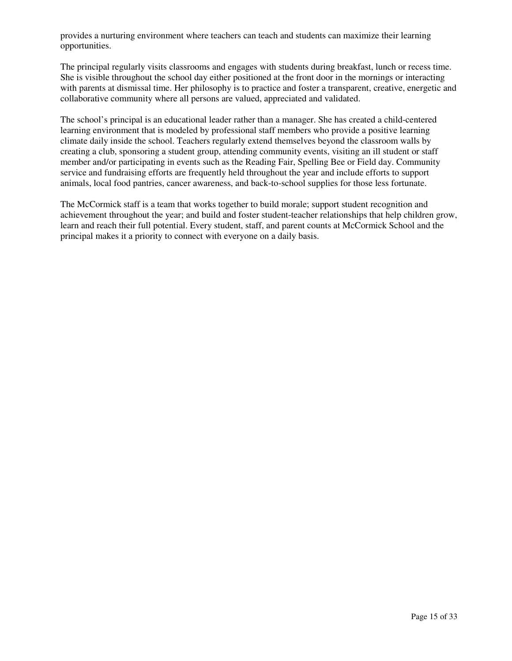provides a nurturing environment where teachers can teach and students can maximize their learning opportunities.

The principal regularly visits classrooms and engages with students during breakfast, lunch or recess time. She is visible throughout the school day either positioned at the front door in the mornings or interacting with parents at dismissal time. Her philosophy is to practice and foster a transparent, creative, energetic and collaborative community where all persons are valued, appreciated and validated.

The school's principal is an educational leader rather than a manager. She has created a child-centered learning environment that is modeled by professional staff members who provide a positive learning climate daily inside the school. Teachers regularly extend themselves beyond the classroom walls by creating a club, sponsoring a student group, attending community events, visiting an ill student or staff member and/or participating in events such as the Reading Fair, Spelling Bee or Field day. Community service and fundraising efforts are frequently held throughout the year and include efforts to support animals, local food pantries, cancer awareness, and back-to-school supplies for those less fortunate.

The McCormick staff is a team that works together to build morale; support student recognition and achievement throughout the year; and build and foster student-teacher relationships that help children grow, learn and reach their full potential. Every student, staff, and parent counts at McCormick School and the principal makes it a priority to connect with everyone on a daily basis.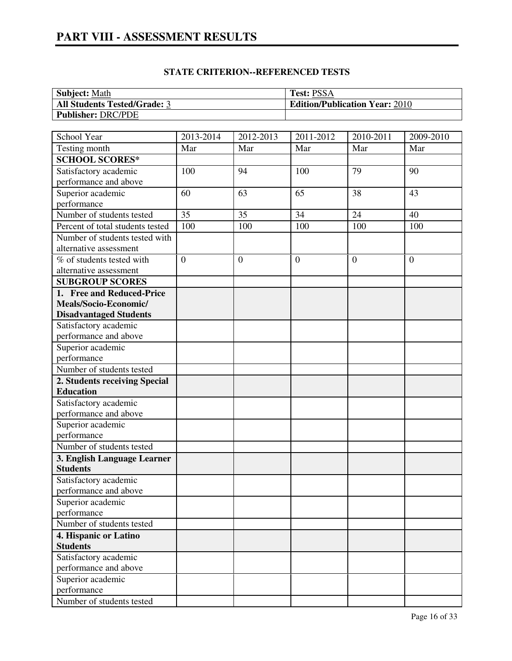# **PART VIII - ASSESSMENT RESULTS**

| <b>Subject: Math</b>                | <b>Test: PSSA</b>                     |
|-------------------------------------|---------------------------------------|
| <b>All Students Tested/Grade: 3</b> | <b>Edition/Publication Year: 2010</b> |
| <b>Publisher: DRC/PDE</b>           |                                       |

| School Year                      | 2013-2014       | 2012-2013        | 2011-2012      | 2010-2011      | 2009-2010      |
|----------------------------------|-----------------|------------------|----------------|----------------|----------------|
| Testing month                    | Mar             | Mar              | Mar            | Mar            | Mar            |
| <b>SCHOOL SCORES*</b>            |                 |                  |                |                |                |
| Satisfactory academic            | 100             | 94               | 100            | 79             | 90             |
| performance and above            |                 |                  |                |                |                |
| Superior academic                | 60              | 63               | 65             | 38             | 43             |
| performance                      |                 |                  |                |                |                |
| Number of students tested        | 35              | 35               | 34             | 24             | 40             |
| Percent of total students tested | 10 <sub>0</sub> | 100              | 100            | 100            | 100            |
| Number of students tested with   |                 |                  |                |                |                |
| alternative assessment           |                 |                  |                |                |                |
| % of students tested with        | $\overline{0}$  | $\boldsymbol{0}$ | $\overline{0}$ | $\overline{0}$ | $\overline{0}$ |
| alternative assessment           |                 |                  |                |                |                |
| <b>SUBGROUP SCORES</b>           |                 |                  |                |                |                |
| 1. Free and Reduced-Price        |                 |                  |                |                |                |
| Meals/Socio-Economic/            |                 |                  |                |                |                |
| <b>Disadvantaged Students</b>    |                 |                  |                |                |                |
| Satisfactory academic            |                 |                  |                |                |                |
| performance and above            |                 |                  |                |                |                |
| Superior academic                |                 |                  |                |                |                |
| performance                      |                 |                  |                |                |                |
| Number of students tested        |                 |                  |                |                |                |
| 2. Students receiving Special    |                 |                  |                |                |                |
| <b>Education</b>                 |                 |                  |                |                |                |
| Satisfactory academic            |                 |                  |                |                |                |
| performance and above            |                 |                  |                |                |                |
| Superior academic                |                 |                  |                |                |                |
| performance                      |                 |                  |                |                |                |
| Number of students tested        |                 |                  |                |                |                |
| 3. English Language Learner      |                 |                  |                |                |                |
| <b>Students</b>                  |                 |                  |                |                |                |
| Satisfactory academic            |                 |                  |                |                |                |
| performance and above            |                 |                  |                |                |                |
| Superior academic                |                 |                  |                |                |                |
| performance                      |                 |                  |                |                |                |
| Number of students tested        |                 |                  |                |                |                |
| 4. Hispanic or Latino            |                 |                  |                |                |                |
| <b>Students</b>                  |                 |                  |                |                |                |
| Satisfactory academic            |                 |                  |                |                |                |
| performance and above            |                 |                  |                |                |                |
| Superior academic                |                 |                  |                |                |                |
| performance                      |                 |                  |                |                |                |
| Number of students tested        |                 |                  |                |                |                |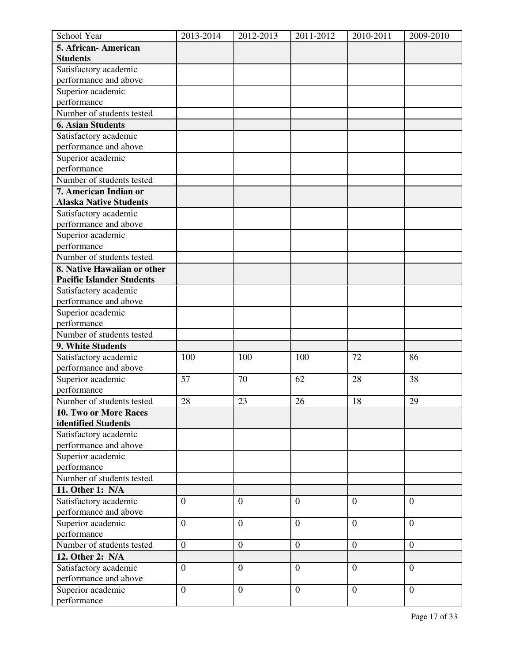| School Year                      | 2013-2014        | 2012-2013        | 2011-2012        | 2010-2011        | 2009-2010        |
|----------------------------------|------------------|------------------|------------------|------------------|------------------|
| 5. African-American              |                  |                  |                  |                  |                  |
| <b>Students</b>                  |                  |                  |                  |                  |                  |
| Satisfactory academic            |                  |                  |                  |                  |                  |
| performance and above            |                  |                  |                  |                  |                  |
| Superior academic                |                  |                  |                  |                  |                  |
| performance                      |                  |                  |                  |                  |                  |
| Number of students tested        |                  |                  |                  |                  |                  |
| <b>6. Asian Students</b>         |                  |                  |                  |                  |                  |
| Satisfactory academic            |                  |                  |                  |                  |                  |
| performance and above            |                  |                  |                  |                  |                  |
| Superior academic                |                  |                  |                  |                  |                  |
| performance                      |                  |                  |                  |                  |                  |
| Number of students tested        |                  |                  |                  |                  |                  |
| 7. American Indian or            |                  |                  |                  |                  |                  |
| <b>Alaska Native Students</b>    |                  |                  |                  |                  |                  |
| Satisfactory academic            |                  |                  |                  |                  |                  |
| performance and above            |                  |                  |                  |                  |                  |
| Superior academic                |                  |                  |                  |                  |                  |
| performance                      |                  |                  |                  |                  |                  |
| Number of students tested        |                  |                  |                  |                  |                  |
| 8. Native Hawaiian or other      |                  |                  |                  |                  |                  |
| <b>Pacific Islander Students</b> |                  |                  |                  |                  |                  |
| Satisfactory academic            |                  |                  |                  |                  |                  |
| performance and above            |                  |                  |                  |                  |                  |
| Superior academic                |                  |                  |                  |                  |                  |
| performance                      |                  |                  |                  |                  |                  |
| Number of students tested        |                  |                  |                  |                  |                  |
| 9. White Students                |                  |                  |                  |                  |                  |
| Satisfactory academic            | 100              | 100              | 100              | 72               | 86               |
| performance and above            |                  |                  |                  |                  |                  |
| Superior academic                | 57               | 70               | 62               | 28               | 38               |
| performance                      |                  |                  |                  |                  |                  |
| Number of students tested        | 28               | 23               | 26               | 18               | 29               |
| 10. Two or More Races            |                  |                  |                  |                  |                  |
| identified Students              |                  |                  |                  |                  |                  |
| Satisfactory academic            |                  |                  |                  |                  |                  |
| performance and above            |                  |                  |                  |                  |                  |
| Superior academic                |                  |                  |                  |                  |                  |
| performance                      |                  |                  |                  |                  |                  |
| Number of students tested        |                  |                  |                  |                  |                  |
| 11. Other 1: N/A                 |                  |                  |                  |                  |                  |
| Satisfactory academic            | $\overline{0}$   | $\boldsymbol{0}$ | $\overline{0}$   | $\overline{0}$   | $\overline{0}$   |
| performance and above            |                  |                  |                  |                  |                  |
| Superior academic                | $\boldsymbol{0}$ | $\mathbf{0}$     | $\boldsymbol{0}$ | $\overline{0}$   | $\overline{0}$   |
| performance                      |                  |                  |                  |                  |                  |
| Number of students tested        | $\boldsymbol{0}$ | $\overline{0}$   | $\boldsymbol{0}$ | $\overline{0}$   | $\boldsymbol{0}$ |
| 12. Other 2: N/A                 |                  |                  |                  |                  |                  |
| Satisfactory academic            | $\boldsymbol{0}$ | $\mathbf{0}$     | $\overline{0}$   | $\mathbf{0}$     | $\overline{0}$   |
| performance and above            |                  |                  |                  |                  |                  |
| Superior academic                | $\overline{0}$   | $\mathbf{0}$     | $\boldsymbol{0}$ | $\boldsymbol{0}$ | $\overline{0}$   |
| performance                      |                  |                  |                  |                  |                  |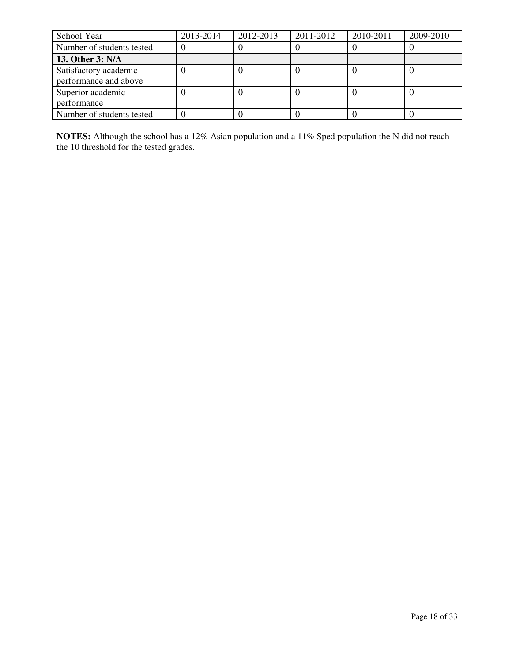| School Year                                    | 2013-2014 | 2012-2013 | 2011-2012 | 2010-2011 | 2009-2010 |
|------------------------------------------------|-----------|-----------|-----------|-----------|-----------|
| Number of students tested                      |           |           |           |           |           |
| 13. Other 3: N/A                               |           |           |           |           |           |
| Satisfactory academic<br>performance and above |           |           |           |           |           |
| Superior academic<br>performance               |           |           |           |           |           |
| Number of students tested                      |           |           |           |           |           |

**NOTES:** Although the school has a 12% Asian population and a 11% Sped population the N did not reach the 10 threshold for the tested grades.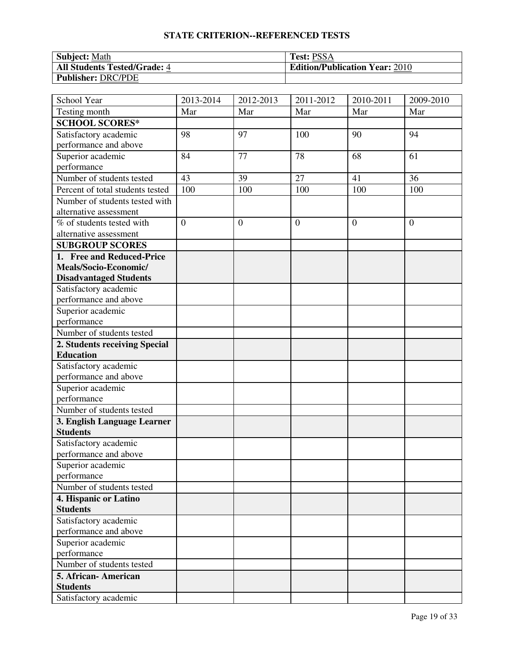| <b>Subject: Math</b>                | <b>Test: PSSA</b>                     |
|-------------------------------------|---------------------------------------|
| <b>All Students Tested/Grade: 4</b> | <b>Edition/Publication Year: 2010</b> |
| <b>Publisher: DRC/PDE</b>           |                                       |

| School Year                      | 2013-2014      | 2012-2013      | 2011-2012      | 2010-2011      | 2009-2010      |
|----------------------------------|----------------|----------------|----------------|----------------|----------------|
| Testing month                    | Mar            | Mar            | Mar            | Mar            | Mar            |
| <b>SCHOOL SCORES*</b>            |                |                |                |                |                |
| Satisfactory academic            | 98             | 97             | 100            | 90             | 94             |
| performance and above            |                |                |                |                |                |
| Superior academic                | 84             | 77             | 78             | 68             | 61             |
| performance                      |                |                |                |                |                |
| Number of students tested        | 43             | 39             | 27             | 41             | 36             |
| Percent of total students tested | 100            | 100            | 100            | 100            | 100            |
| Number of students tested with   |                |                |                |                |                |
| alternative assessment           |                |                |                |                |                |
| % of students tested with        | $\overline{0}$ | $\overline{0}$ | $\overline{0}$ | $\overline{0}$ | $\overline{0}$ |
| alternative assessment           |                |                |                |                |                |
| <b>SUBGROUP SCORES</b>           |                |                |                |                |                |
| 1. Free and Reduced-Price        |                |                |                |                |                |
| Meals/Socio-Economic/            |                |                |                |                |                |
| <b>Disadvantaged Students</b>    |                |                |                |                |                |
| Satisfactory academic            |                |                |                |                |                |
| performance and above            |                |                |                |                |                |
| Superior academic                |                |                |                |                |                |
| performance                      |                |                |                |                |                |
| Number of students tested        |                |                |                |                |                |
| 2. Students receiving Special    |                |                |                |                |                |
| <b>Education</b>                 |                |                |                |                |                |
| Satisfactory academic            |                |                |                |                |                |
| performance and above            |                |                |                |                |                |
| Superior academic                |                |                |                |                |                |
| performance                      |                |                |                |                |                |
| Number of students tested        |                |                |                |                |                |
| 3. English Language Learner      |                |                |                |                |                |
| <b>Students</b>                  |                |                |                |                |                |
| Satisfactory academic            |                |                |                |                |                |
| performance and above            |                |                |                |                |                |
| Superior academic                |                |                |                |                |                |
| performance                      |                |                |                |                |                |
| Number of students tested        |                |                |                |                |                |
| 4. Hispanic or Latino            |                |                |                |                |                |
| <b>Students</b>                  |                |                |                |                |                |
| Satisfactory academic            |                |                |                |                |                |
| performance and above            |                |                |                |                |                |
| Superior academic                |                |                |                |                |                |
| performance                      |                |                |                |                |                |
| Number of students tested        |                |                |                |                |                |
| 5. African-American              |                |                |                |                |                |
| <b>Students</b>                  |                |                |                |                |                |
| Satisfactory academic            |                |                |                |                |                |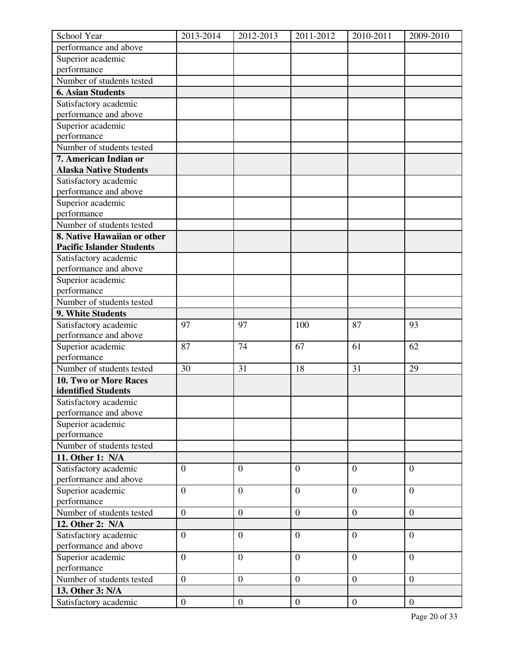| School Year                      | 2013-2014        | 2012-2013        | 2011-2012        | 2010-2011      | 2009-2010        |
|----------------------------------|------------------|------------------|------------------|----------------|------------------|
| performance and above            |                  |                  |                  |                |                  |
| Superior academic                |                  |                  |                  |                |                  |
| performance                      |                  |                  |                  |                |                  |
| Number of students tested        |                  |                  |                  |                |                  |
| <b>6. Asian Students</b>         |                  |                  |                  |                |                  |
| Satisfactory academic            |                  |                  |                  |                |                  |
| performance and above            |                  |                  |                  |                |                  |
| Superior academic                |                  |                  |                  |                |                  |
| performance                      |                  |                  |                  |                |                  |
| Number of students tested        |                  |                  |                  |                |                  |
| 7. American Indian or            |                  |                  |                  |                |                  |
| <b>Alaska Native Students</b>    |                  |                  |                  |                |                  |
| Satisfactory academic            |                  |                  |                  |                |                  |
| performance and above            |                  |                  |                  |                |                  |
| Superior academic                |                  |                  |                  |                |                  |
| performance                      |                  |                  |                  |                |                  |
| Number of students tested        |                  |                  |                  |                |                  |
| 8. Native Hawaiian or other      |                  |                  |                  |                |                  |
| <b>Pacific Islander Students</b> |                  |                  |                  |                |                  |
| Satisfactory academic            |                  |                  |                  |                |                  |
| performance and above            |                  |                  |                  |                |                  |
| Superior academic                |                  |                  |                  |                |                  |
| performance                      |                  |                  |                  |                |                  |
| Number of students tested        |                  |                  |                  |                |                  |
| 9. White Students                |                  |                  |                  |                |                  |
| Satisfactory academic            | 97               | 97               | 100              | 87             | 93               |
| performance and above            |                  |                  |                  |                |                  |
| Superior academic                | 87               | 74               | 67               | 61             | 62               |
| performance                      |                  |                  |                  |                |                  |
| Number of students tested        | 30               | 31               | 18               | 31             | 29               |
| 10. Two or More Races            |                  |                  |                  |                |                  |
| identified Students              |                  |                  |                  |                |                  |
| Satisfactory academic            |                  |                  |                  |                |                  |
| performance and above            |                  |                  |                  |                |                  |
| Superior academic                |                  |                  |                  |                |                  |
| performance                      |                  |                  |                  |                |                  |
| Number of students tested        |                  |                  |                  |                |                  |
| 11. Other 1: N/A                 |                  |                  |                  |                |                  |
| Satisfactory academic            | $\overline{0}$   | $\overline{0}$   | $\overline{0}$   | $\overline{0}$ | $\overline{0}$   |
| performance and above            |                  |                  |                  |                |                  |
| Superior academic                | $\overline{0}$   | $\overline{0}$   | $\overline{0}$   | $\overline{0}$ | $\overline{0}$   |
| performance                      |                  |                  |                  |                |                  |
| Number of students tested        | $\overline{0}$   | $\mathbf{0}$     | $\boldsymbol{0}$ | $\overline{0}$ | $\boldsymbol{0}$ |
| 12. Other 2: N/A                 |                  |                  |                  |                |                  |
| Satisfactory academic            | $\overline{0}$   | $\overline{0}$   | $\overline{0}$   | $\theta$       | $\overline{0}$   |
| performance and above            |                  |                  |                  |                |                  |
| Superior academic                | $\boldsymbol{0}$ | $\mathbf{0}$     | $\boldsymbol{0}$ | $\overline{0}$ | $\overline{0}$   |
| performance                      |                  |                  |                  |                |                  |
| Number of students tested        | $\overline{0}$   | $\overline{0}$   | $\overline{0}$   | $\overline{0}$ | $\theta$         |
| 13. Other 3: N/A                 |                  |                  |                  |                |                  |
| Satisfactory academic            | $\overline{0}$   | $\boldsymbol{0}$ | $\mathbf{0}$     | $\overline{0}$ | $\mathbf{0}$     |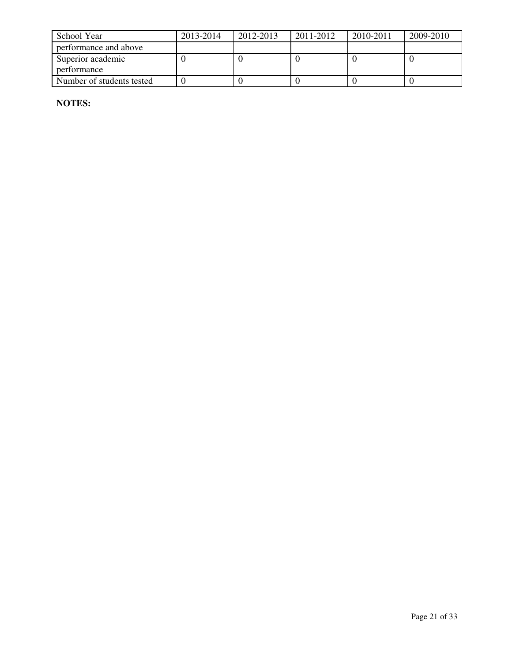| School Year               | 2013-2014 | 2012-2013 | 2011-2012 | 2010-2011 | 2009-2010 |
|---------------------------|-----------|-----------|-----------|-----------|-----------|
| performance and above     |           |           |           |           |           |
| Superior academic         |           |           |           |           |           |
| performance               |           |           |           |           |           |
| Number of students tested |           |           |           |           |           |

**NOTES:**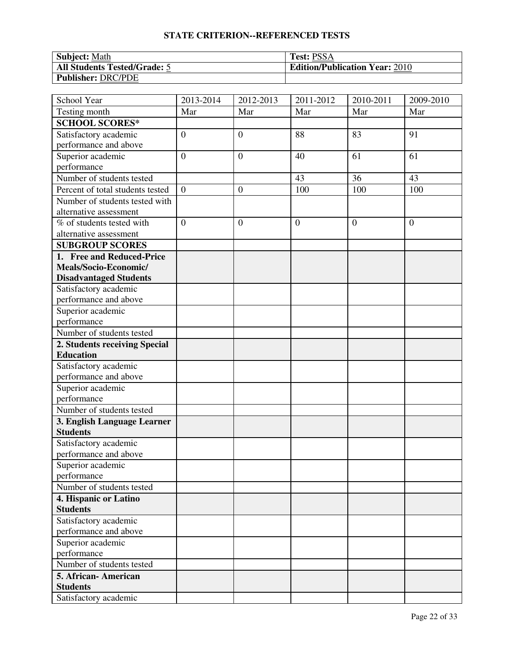| <b>Subject: Math</b>                | <b>Test: PSSA</b>                     |
|-------------------------------------|---------------------------------------|
| <b>All Students Tested/Grade: 5</b> | <b>Edition/Publication Year: 2010</b> |
| Publisher: DRC/PDE                  |                                       |

| School Year                            | 2013-2014        | 2012-2013        | 2011-2012      | 2010-2011 | 2009-2010      |
|----------------------------------------|------------------|------------------|----------------|-----------|----------------|
| Testing month                          | Mar              | Mar              | Mar            | Mar       | Mar            |
| <b>SCHOOL SCORES*</b>                  |                  |                  |                |           |                |
| Satisfactory academic                  | $\boldsymbol{0}$ | $\boldsymbol{0}$ | 88             | 83        | 91             |
| performance and above                  |                  |                  |                |           |                |
| Superior academic                      | $\overline{0}$   | $\overline{0}$   | 40             | 61        | 61             |
| performance                            |                  |                  |                |           |                |
| Number of students tested              |                  |                  | 43             | 36        | 43             |
| Percent of total students tested       | $\overline{0}$   | $\boldsymbol{0}$ | 100            | 100       | 100            |
| Number of students tested with         |                  |                  |                |           |                |
| alternative assessment                 |                  |                  |                |           |                |
| % of students tested with              | $\overline{0}$   | $\overline{0}$   | $\overline{0}$ | $\theta$  | $\overline{0}$ |
| alternative assessment                 |                  |                  |                |           |                |
| <b>SUBGROUP SCORES</b>                 |                  |                  |                |           |                |
| 1. Free and Reduced-Price              |                  |                  |                |           |                |
| Meals/Socio-Economic/                  |                  |                  |                |           |                |
| <b>Disadvantaged Students</b>          |                  |                  |                |           |                |
| Satisfactory academic                  |                  |                  |                |           |                |
| performance and above                  |                  |                  |                |           |                |
| Superior academic                      |                  |                  |                |           |                |
| performance                            |                  |                  |                |           |                |
| Number of students tested              |                  |                  |                |           |                |
| 2. Students receiving Special          |                  |                  |                |           |                |
| <b>Education</b>                       |                  |                  |                |           |                |
| Satisfactory academic                  |                  |                  |                |           |                |
| performance and above                  |                  |                  |                |           |                |
| Superior academic                      |                  |                  |                |           |                |
| performance                            |                  |                  |                |           |                |
| Number of students tested              |                  |                  |                |           |                |
| 3. English Language Learner            |                  |                  |                |           |                |
| <b>Students</b>                        |                  |                  |                |           |                |
| Satisfactory academic                  |                  |                  |                |           |                |
| performance and above                  |                  |                  |                |           |                |
| Superior academic                      |                  |                  |                |           |                |
| performance                            |                  |                  |                |           |                |
| Number of students tested              |                  |                  |                |           |                |
| 4. Hispanic or Latino                  |                  |                  |                |           |                |
| <b>Students</b>                        |                  |                  |                |           |                |
| Satisfactory academic                  |                  |                  |                |           |                |
| performance and above                  |                  |                  |                |           |                |
| Superior academic<br>performance       |                  |                  |                |           |                |
| Number of students tested              |                  |                  |                |           |                |
|                                        |                  |                  |                |           |                |
| 5. African-American<br><b>Students</b> |                  |                  |                |           |                |
| Satisfactory academic                  |                  |                  |                |           |                |
|                                        |                  |                  |                |           |                |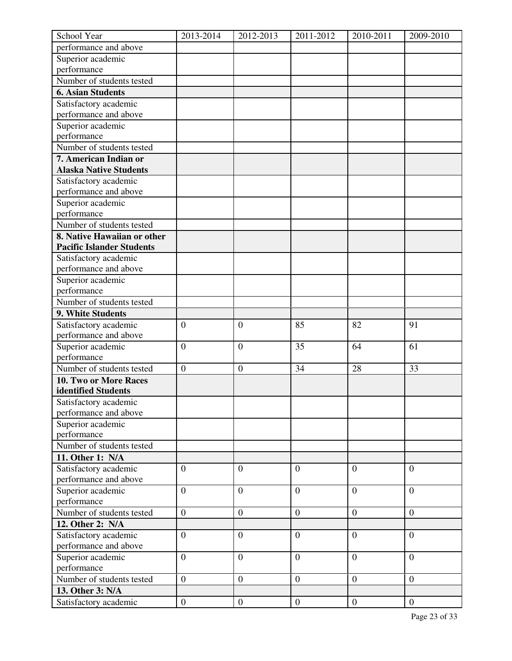| School Year                      | 2013-2014        | 2012-2013        | 2011-2012        | 2010-2011      | 2009-2010        |
|----------------------------------|------------------|------------------|------------------|----------------|------------------|
| performance and above            |                  |                  |                  |                |                  |
| Superior academic                |                  |                  |                  |                |                  |
| performance                      |                  |                  |                  |                |                  |
| Number of students tested        |                  |                  |                  |                |                  |
| <b>6. Asian Students</b>         |                  |                  |                  |                |                  |
| Satisfactory academic            |                  |                  |                  |                |                  |
| performance and above            |                  |                  |                  |                |                  |
| Superior academic                |                  |                  |                  |                |                  |
| performance                      |                  |                  |                  |                |                  |
| Number of students tested        |                  |                  |                  |                |                  |
| 7. American Indian or            |                  |                  |                  |                |                  |
| <b>Alaska Native Students</b>    |                  |                  |                  |                |                  |
| Satisfactory academic            |                  |                  |                  |                |                  |
| performance and above            |                  |                  |                  |                |                  |
| Superior academic                |                  |                  |                  |                |                  |
| performance                      |                  |                  |                  |                |                  |
| Number of students tested        |                  |                  |                  |                |                  |
| 8. Native Hawaiian or other      |                  |                  |                  |                |                  |
| <b>Pacific Islander Students</b> |                  |                  |                  |                |                  |
| Satisfactory academic            |                  |                  |                  |                |                  |
| performance and above            |                  |                  |                  |                |                  |
| Superior academic                |                  |                  |                  |                |                  |
| performance                      |                  |                  |                  |                |                  |
| Number of students tested        |                  |                  |                  |                |                  |
| 9. White Students                |                  |                  |                  |                |                  |
| Satisfactory academic            | $\overline{0}$   | $\overline{0}$   | 85               | 82             | 91               |
| performance and above            |                  |                  |                  |                |                  |
| Superior academic                | $\mathbf{0}$     | $\mathbf{0}$     | 35               | 64             | 61               |
| performance                      |                  |                  |                  |                |                  |
| Number of students tested        | $\boldsymbol{0}$ | $\boldsymbol{0}$ | 34               | 28             | 33               |
| 10. Two or More Races            |                  |                  |                  |                |                  |
| identified Students              |                  |                  |                  |                |                  |
| Satisfactory academic            |                  |                  |                  |                |                  |
| performance and above            |                  |                  |                  |                |                  |
| Superior academic                |                  |                  |                  |                |                  |
| performance                      |                  |                  |                  |                |                  |
| Number of students tested        |                  |                  |                  |                |                  |
| 11. Other 1: N/A                 |                  |                  |                  |                |                  |
| Satisfactory academic            | $\overline{0}$   | $\overline{0}$   | $\overline{0}$   | $\overline{0}$ | $\overline{0}$   |
| performance and above            |                  |                  |                  |                |                  |
| Superior academic                | $\overline{0}$   | $\overline{0}$   | $\overline{0}$   | $\overline{0}$ | $\overline{0}$   |
| performance                      |                  |                  |                  |                |                  |
| Number of students tested        | $\overline{0}$   | $\mathbf{0}$     | $\boldsymbol{0}$ | $\overline{0}$ | $\boldsymbol{0}$ |
| 12. Other 2: N/A                 |                  |                  |                  |                |                  |
| Satisfactory academic            | $\overline{0}$   | $\overline{0}$   | $\overline{0}$   | $\theta$       | $\overline{0}$   |
| performance and above            |                  |                  |                  |                |                  |
| Superior academic                | $\boldsymbol{0}$ | $\mathbf{0}$     | $\boldsymbol{0}$ | $\overline{0}$ | $\overline{0}$   |
| performance                      |                  |                  |                  |                |                  |
| Number of students tested        | $\overline{0}$   | $\overline{0}$   | $\overline{0}$   | $\overline{0}$ | $\overline{0}$   |
| 13. Other 3: N/A                 |                  |                  |                  |                |                  |
| Satisfactory academic            | $\overline{0}$   | $\boldsymbol{0}$ | $\mathbf{0}$     | $\mathbf{0}$   | $\mathbf{0}$     |
|                                  |                  |                  |                  |                |                  |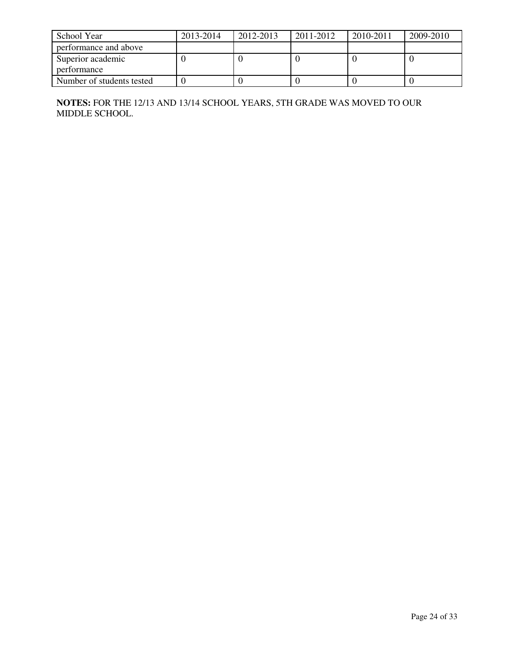| School Year               | 2013-2014 | 2012-2013 | 2011-2012 | 2010-2011 | 2009-2010 |
|---------------------------|-----------|-----------|-----------|-----------|-----------|
| performance and above     |           |           |           |           |           |
| Superior academic         |           |           |           |           |           |
| nerformance               |           |           |           |           |           |
| Number of students tested |           |           |           |           |           |

**NOTES:** FOR THE 12/13 AND 13/14 SCHOOL YEARS, 5TH GRADE WAS MOVED TO OUR MIDDLE SCHOOL.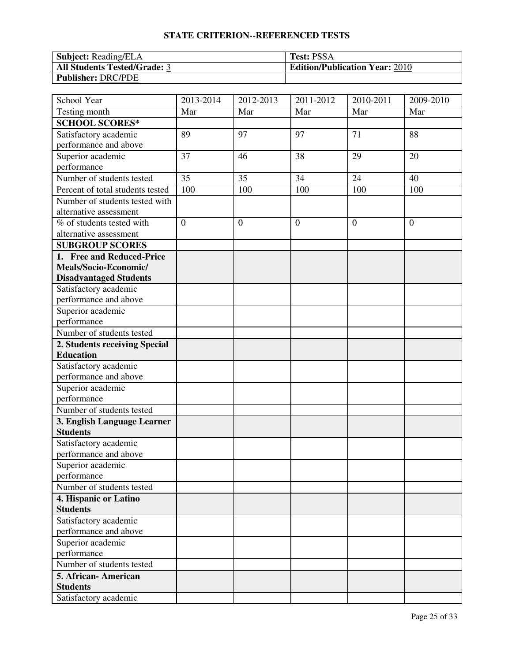| <b>Subject:</b> Reading/ELA         | <b>Test: PSSA</b>                     |
|-------------------------------------|---------------------------------------|
| <b>All Students Tested/Grade: 3</b> | <b>Edition/Publication Year: 2010</b> |
| <b>Publisher: DRC/PDE</b>           |                                       |

| School Year                      | 2013-2014      | 2012-2013      | 2011-2012      | 2010-2011      | 2009-2010      |
|----------------------------------|----------------|----------------|----------------|----------------|----------------|
| Testing month                    | Mar            | Mar            | Mar            | Mar            | Mar            |
| <b>SCHOOL SCORES*</b>            |                |                |                |                |                |
| Satisfactory academic            | 89             | 97             | 97             | 71             | 88             |
| performance and above            |                |                |                |                |                |
| Superior academic                | 37             | 46             | 38             | 29             | 20             |
| performance                      |                |                |                |                |                |
| Number of students tested        | 35             | 35             | 34             | 24             | 40             |
| Percent of total students tested | 100            | 100            | 100            | 100            | 100            |
| Number of students tested with   |                |                |                |                |                |
| alternative assessment           |                |                |                |                |                |
| % of students tested with        | $\overline{0}$ | $\overline{0}$ | $\overline{0}$ | $\overline{0}$ | $\overline{0}$ |
| alternative assessment           |                |                |                |                |                |
| <b>SUBGROUP SCORES</b>           |                |                |                |                |                |
| 1. Free and Reduced-Price        |                |                |                |                |                |
| Meals/Socio-Economic/            |                |                |                |                |                |
| <b>Disadvantaged Students</b>    |                |                |                |                |                |
| Satisfactory academic            |                |                |                |                |                |
| performance and above            |                |                |                |                |                |
| Superior academic                |                |                |                |                |                |
| performance                      |                |                |                |                |                |
| Number of students tested        |                |                |                |                |                |
| 2. Students receiving Special    |                |                |                |                |                |
| <b>Education</b>                 |                |                |                |                |                |
| Satisfactory academic            |                |                |                |                |                |
| performance and above            |                |                |                |                |                |
| Superior academic                |                |                |                |                |                |
| performance                      |                |                |                |                |                |
| Number of students tested        |                |                |                |                |                |
| 3. English Language Learner      |                |                |                |                |                |
| <b>Students</b>                  |                |                |                |                |                |
| Satisfactory academic            |                |                |                |                |                |
| performance and above            |                |                |                |                |                |
| Superior academic                |                |                |                |                |                |
| performance                      |                |                |                |                |                |
| Number of students tested        |                |                |                |                |                |
| 4. Hispanic or Latino            |                |                |                |                |                |
| <b>Students</b>                  |                |                |                |                |                |
| Satisfactory academic            |                |                |                |                |                |
| performance and above            |                |                |                |                |                |
| Superior academic                |                |                |                |                |                |
| performance                      |                |                |                |                |                |
| Number of students tested        |                |                |                |                |                |
| 5. African-American              |                |                |                |                |                |
| <b>Students</b>                  |                |                |                |                |                |
| Satisfactory academic            |                |                |                |                |                |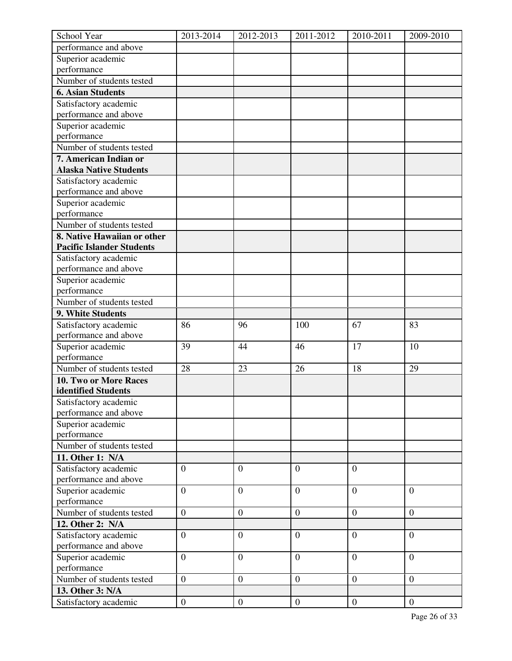| School Year                      | 2013-2014        | 2012-2013        | 2011-2012        | 2010-2011      | 2009-2010        |
|----------------------------------|------------------|------------------|------------------|----------------|------------------|
| performance and above            |                  |                  |                  |                |                  |
| Superior academic                |                  |                  |                  |                |                  |
| performance                      |                  |                  |                  |                |                  |
| Number of students tested        |                  |                  |                  |                |                  |
| <b>6. Asian Students</b>         |                  |                  |                  |                |                  |
| Satisfactory academic            |                  |                  |                  |                |                  |
| performance and above            |                  |                  |                  |                |                  |
| Superior academic                |                  |                  |                  |                |                  |
| performance                      |                  |                  |                  |                |                  |
| Number of students tested        |                  |                  |                  |                |                  |
| 7. American Indian or            |                  |                  |                  |                |                  |
| <b>Alaska Native Students</b>    |                  |                  |                  |                |                  |
| Satisfactory academic            |                  |                  |                  |                |                  |
| performance and above            |                  |                  |                  |                |                  |
| Superior academic                |                  |                  |                  |                |                  |
| performance                      |                  |                  |                  |                |                  |
| Number of students tested        |                  |                  |                  |                |                  |
| 8. Native Hawaiian or other      |                  |                  |                  |                |                  |
| <b>Pacific Islander Students</b> |                  |                  |                  |                |                  |
| Satisfactory academic            |                  |                  |                  |                |                  |
| performance and above            |                  |                  |                  |                |                  |
| Superior academic                |                  |                  |                  |                |                  |
| performance                      |                  |                  |                  |                |                  |
| Number of students tested        |                  |                  |                  |                |                  |
| 9. White Students                |                  |                  |                  |                |                  |
| Satisfactory academic            | 86               | 96               | 100              | 67             | 83               |
| performance and above            |                  |                  |                  |                |                  |
| Superior academic                | 39               | 44               | 46               | 17             | 10               |
| performance                      |                  |                  |                  |                |                  |
| Number of students tested        | 28               | 23               | 26               | 18             | 29               |
| 10. Two or More Races            |                  |                  |                  |                |                  |
| identified Students              |                  |                  |                  |                |                  |
| Satisfactory academic            |                  |                  |                  |                |                  |
| performance and above            |                  |                  |                  |                |                  |
| Superior academic                |                  |                  |                  |                |                  |
| performance                      |                  |                  |                  |                |                  |
| Number of students tested        |                  |                  |                  |                |                  |
| 11. Other 1: N/A                 |                  |                  |                  |                |                  |
| Satisfactory academic            | $\overline{0}$   | $\overline{0}$   | $\overline{0}$   | $\overline{0}$ |                  |
| performance and above            |                  |                  |                  |                |                  |
| Superior academic                | $\overline{0}$   | $\overline{0}$   | $\overline{0}$   | $\theta$       | $\overline{0}$   |
| performance                      |                  |                  |                  |                |                  |
| Number of students tested        | $\overline{0}$   | $\mathbf{0}$     | $\boldsymbol{0}$ | $\overline{0}$ | $\boldsymbol{0}$ |
| 12. Other 2: N/A                 |                  |                  |                  |                |                  |
| Satisfactory academic            | $\overline{0}$   | $\overline{0}$   | $\overline{0}$   | $\theta$       | $\overline{0}$   |
| performance and above            |                  |                  |                  |                |                  |
| Superior academic                | $\boldsymbol{0}$ | $\mathbf{0}$     | $\boldsymbol{0}$ | $\overline{0}$ | $\overline{0}$   |
| performance                      |                  |                  |                  |                |                  |
| Number of students tested        | $\overline{0}$   | $\overline{0}$   | $\overline{0}$   | $\overline{0}$ | $\overline{0}$   |
| 13. Other 3: N/A                 |                  |                  |                  |                |                  |
| Satisfactory academic            | $\overline{0}$   | $\boldsymbol{0}$ | $\mathbf{0}$     | $\mathbf{0}$   | $\mathbf{0}$     |
|                                  |                  |                  |                  |                |                  |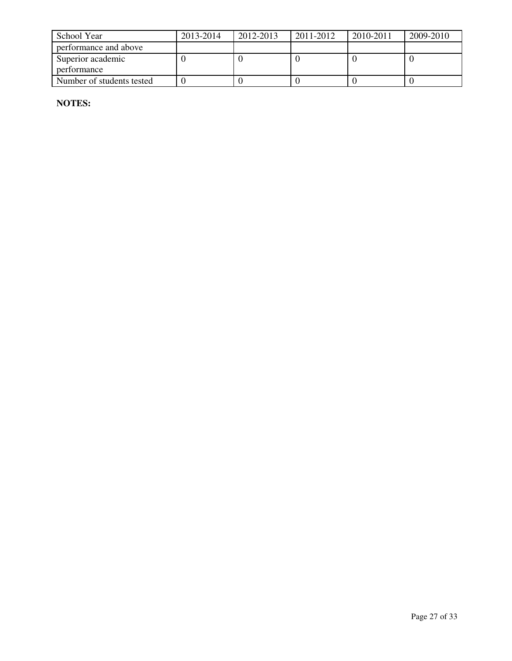| School Year               | 2013-2014 | 2012-2013 | 2011-2012 | 2010-2011 | 2009-2010 |
|---------------------------|-----------|-----------|-----------|-----------|-----------|
| performance and above     |           |           |           |           |           |
| Superior academic         |           |           |           |           |           |
| performance               |           |           |           |           |           |
| Number of students tested |           |           |           |           |           |

**NOTES:**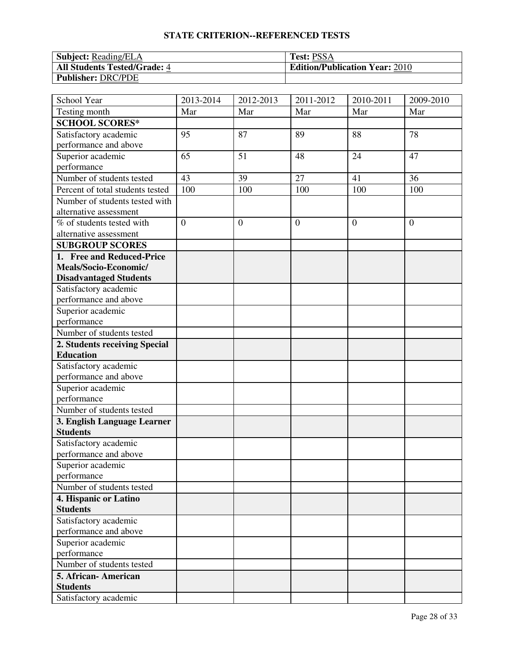| <b>Subject:</b> Reading/ELA         | <b>Test: PSSA</b>                     |
|-------------------------------------|---------------------------------------|
| <b>All Students Tested/Grade: 4</b> | <b>Edition/Publication Year: 2010</b> |
| <b>Publisher: DRC/PDE</b>           |                                       |

| School Year                            | 2013-2014      | 2012-2013      | 2011-2012      | 2010-2011 | 2009-2010      |
|----------------------------------------|----------------|----------------|----------------|-----------|----------------|
| Testing month                          | Mar            | Mar            | Mar            | Mar       | Mar            |
| <b>SCHOOL SCORES*</b>                  |                |                |                |           |                |
| Satisfactory academic                  | 95             | 87             | 89             | 88        | 78             |
| performance and above                  |                |                |                |           |                |
| Superior academic                      | 65             | 51             | 48             | 24        | 47             |
| performance                            |                |                |                |           |                |
| Number of students tested              | 43             | 39             | 27             | 41        | 36             |
| Percent of total students tested       | 100            | 100            | 100            | 100       | 100            |
| Number of students tested with         |                |                |                |           |                |
| alternative assessment                 |                |                |                |           |                |
| % of students tested with              | $\overline{0}$ | $\overline{0}$ | $\overline{0}$ | $\theta$  | $\overline{0}$ |
| alternative assessment                 |                |                |                |           |                |
| <b>SUBGROUP SCORES</b>                 |                |                |                |           |                |
| 1. Free and Reduced-Price              |                |                |                |           |                |
| Meals/Socio-Economic/                  |                |                |                |           |                |
| <b>Disadvantaged Students</b>          |                |                |                |           |                |
| Satisfactory academic                  |                |                |                |           |                |
| performance and above                  |                |                |                |           |                |
| Superior academic                      |                |                |                |           |                |
| performance                            |                |                |                |           |                |
| Number of students tested              |                |                |                |           |                |
| 2. Students receiving Special          |                |                |                |           |                |
| <b>Education</b>                       |                |                |                |           |                |
| Satisfactory academic                  |                |                |                |           |                |
| performance and above                  |                |                |                |           |                |
| Superior academic                      |                |                |                |           |                |
| performance                            |                |                |                |           |                |
| Number of students tested              |                |                |                |           |                |
| 3. English Language Learner            |                |                |                |           |                |
| <b>Students</b>                        |                |                |                |           |                |
| Satisfactory academic                  |                |                |                |           |                |
| performance and above                  |                |                |                |           |                |
| Superior academic                      |                |                |                |           |                |
| performance                            |                |                |                |           |                |
| Number of students tested              |                |                |                |           |                |
| 4. Hispanic or Latino                  |                |                |                |           |                |
| <b>Students</b>                        |                |                |                |           |                |
| Satisfactory academic                  |                |                |                |           |                |
| performance and above                  |                |                |                |           |                |
| Superior academic<br>performance       |                |                |                |           |                |
| Number of students tested              |                |                |                |           |                |
|                                        |                |                |                |           |                |
| 5. African-American<br><b>Students</b> |                |                |                |           |                |
| Satisfactory academic                  |                |                |                |           |                |
|                                        |                |                |                |           |                |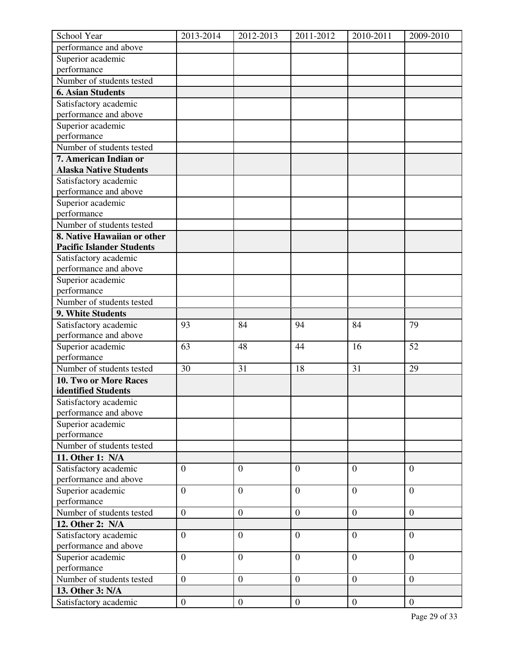| School Year                      | 2013-2014        | 2012-2013        | 2011-2012        | 2010-2011      | 2009-2010        |
|----------------------------------|------------------|------------------|------------------|----------------|------------------|
| performance and above            |                  |                  |                  |                |                  |
| Superior academic                |                  |                  |                  |                |                  |
| performance                      |                  |                  |                  |                |                  |
| Number of students tested        |                  |                  |                  |                |                  |
| <b>6. Asian Students</b>         |                  |                  |                  |                |                  |
| Satisfactory academic            |                  |                  |                  |                |                  |
| performance and above            |                  |                  |                  |                |                  |
| Superior academic                |                  |                  |                  |                |                  |
| performance                      |                  |                  |                  |                |                  |
| Number of students tested        |                  |                  |                  |                |                  |
| 7. American Indian or            |                  |                  |                  |                |                  |
| <b>Alaska Native Students</b>    |                  |                  |                  |                |                  |
| Satisfactory academic            |                  |                  |                  |                |                  |
| performance and above            |                  |                  |                  |                |                  |
| Superior academic                |                  |                  |                  |                |                  |
| performance                      |                  |                  |                  |                |                  |
| Number of students tested        |                  |                  |                  |                |                  |
| 8. Native Hawaiian or other      |                  |                  |                  |                |                  |
| <b>Pacific Islander Students</b> |                  |                  |                  |                |                  |
| Satisfactory academic            |                  |                  |                  |                |                  |
| performance and above            |                  |                  |                  |                |                  |
| Superior academic                |                  |                  |                  |                |                  |
| performance                      |                  |                  |                  |                |                  |
| Number of students tested        |                  |                  |                  |                |                  |
| 9. White Students                |                  |                  |                  |                |                  |
| Satisfactory academic            | 93               | 84               | 94               | 84             | 79               |
| performance and above            |                  |                  |                  |                |                  |
| Superior academic                | 63               | 48               | 44               | 16             | 52               |
| performance                      |                  |                  |                  |                |                  |
| Number of students tested        | 30               | 31               | 18               | 31             | 29               |
| 10. Two or More Races            |                  |                  |                  |                |                  |
| identified Students              |                  |                  |                  |                |                  |
| Satisfactory academic            |                  |                  |                  |                |                  |
| performance and above            |                  |                  |                  |                |                  |
| Superior academic                |                  |                  |                  |                |                  |
| performance                      |                  |                  |                  |                |                  |
| Number of students tested        |                  |                  |                  |                |                  |
| 11. Other 1: N/A                 |                  |                  |                  |                |                  |
| Satisfactory academic            | $\overline{0}$   | $\theta$         | $\overline{0}$   | $\overline{0}$ | $\overline{0}$   |
| performance and above            |                  |                  |                  |                |                  |
| Superior academic                | $\overline{0}$   | $\mathbf{0}$     | $\overline{0}$   | $\overline{0}$ | $\overline{0}$   |
| performance                      |                  |                  |                  |                |                  |
| Number of students tested        | $\overline{0}$   | $\overline{0}$   | $\boldsymbol{0}$ | $\mathbf{0}$   | $\theta$         |
| 12. Other 2: N/A                 |                  |                  |                  |                |                  |
| Satisfactory academic            | $\overline{0}$   | $\overline{0}$   | $\overline{0}$   | $\mathbf{0}$   | $\overline{0}$   |
| performance and above            |                  |                  |                  |                |                  |
| Superior academic                | $\boldsymbol{0}$ | $\overline{0}$   | $\boldsymbol{0}$ | $\mathbf{0}$   | $\boldsymbol{0}$ |
| performance                      |                  |                  |                  |                |                  |
| Number of students tested        | $\overline{0}$   | $\overline{0}$   | $\overline{0}$   | $\overline{0}$ | $\overline{0}$   |
| 13. Other 3: N/A                 |                  |                  |                  |                |                  |
| Satisfactory academic            | $\mathbf{0}$     | $\boldsymbol{0}$ | $\overline{0}$   | $\overline{0}$ | $\overline{0}$   |
|                                  |                  |                  |                  |                |                  |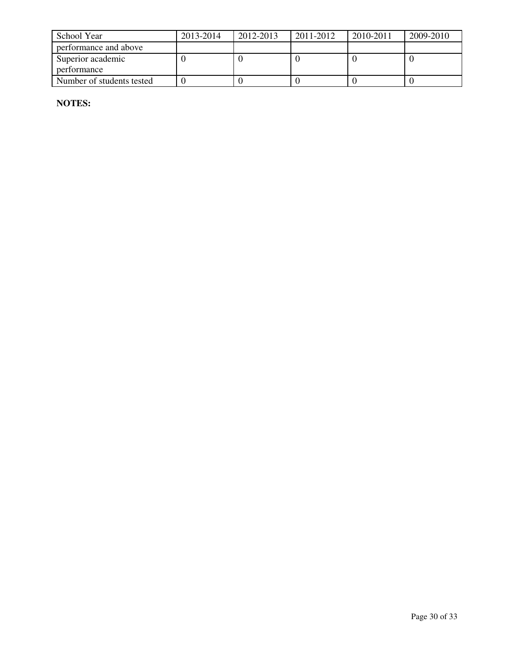| School Year               | 2013-2014 | 2012-2013 | 2011-2012 | 2010-2011 | 2009-2010 |
|---------------------------|-----------|-----------|-----------|-----------|-----------|
| performance and above     |           |           |           |           |           |
| Superior academic         |           |           |           |           |           |
| performance               |           |           |           |           |           |
| Number of students tested |           |           |           |           |           |

**NOTES:**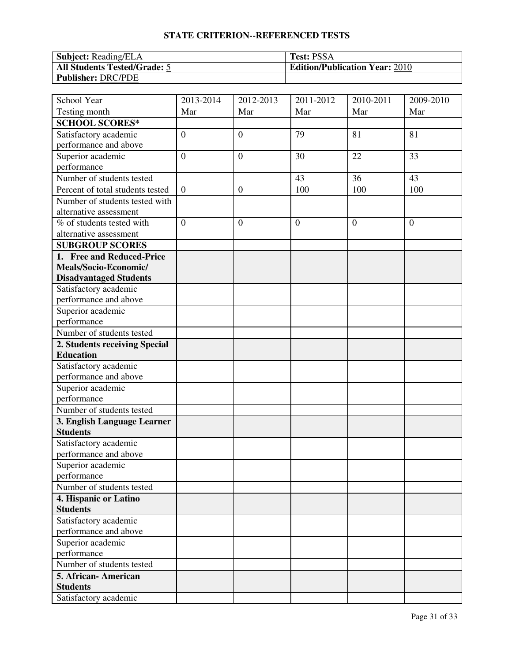| <b>Subject:</b> Reading/ELA         | <b>Test: PSSA</b>                     |
|-------------------------------------|---------------------------------------|
| <b>All Students Tested/Grade: 5</b> | <b>Edition/Publication Year: 2010</b> |
| <b>Publisher: DRC/PDE</b>           |                                       |

| School Year                      | 2013-2014        | 2012-2013        | 2011-2012      | 2010-2011      | 2009-2010      |
|----------------------------------|------------------|------------------|----------------|----------------|----------------|
| Testing month                    | Mar              | Mar              | Mar            | Mar            | Mar            |
| <b>SCHOOL SCORES*</b>            |                  |                  |                |                |                |
| Satisfactory academic            | $\boldsymbol{0}$ | $\boldsymbol{0}$ | 79             | 81             | 81             |
| performance and above            |                  |                  |                |                |                |
| Superior academic                | $\overline{0}$   | $\boldsymbol{0}$ | 30             | 22             | 33             |
| performance                      |                  |                  |                |                |                |
| Number of students tested        |                  |                  | 43             | 36             | 43             |
| Percent of total students tested | $\boldsymbol{0}$ | $\boldsymbol{0}$ | 100            | 100            | 100            |
| Number of students tested with   |                  |                  |                |                |                |
| alternative assessment           |                  |                  |                |                |                |
| % of students tested with        | $\overline{0}$   | $\overline{0}$   | $\overline{0}$ | $\overline{0}$ | $\overline{0}$ |
| alternative assessment           |                  |                  |                |                |                |
| <b>SUBGROUP SCORES</b>           |                  |                  |                |                |                |
| 1. Free and Reduced-Price        |                  |                  |                |                |                |
| Meals/Socio-Economic/            |                  |                  |                |                |                |
| <b>Disadvantaged Students</b>    |                  |                  |                |                |                |
| Satisfactory academic            |                  |                  |                |                |                |
| performance and above            |                  |                  |                |                |                |
| Superior academic                |                  |                  |                |                |                |
| performance                      |                  |                  |                |                |                |
| Number of students tested        |                  |                  |                |                |                |
| 2. Students receiving Special    |                  |                  |                |                |                |
| <b>Education</b>                 |                  |                  |                |                |                |
| Satisfactory academic            |                  |                  |                |                |                |
| performance and above            |                  |                  |                |                |                |
| Superior academic                |                  |                  |                |                |                |
| performance                      |                  |                  |                |                |                |
| Number of students tested        |                  |                  |                |                |                |
| 3. English Language Learner      |                  |                  |                |                |                |
| <b>Students</b>                  |                  |                  |                |                |                |
| Satisfactory academic            |                  |                  |                |                |                |
| performance and above            |                  |                  |                |                |                |
| Superior academic                |                  |                  |                |                |                |
| performance                      |                  |                  |                |                |                |
| Number of students tested        |                  |                  |                |                |                |
| 4. Hispanic or Latino            |                  |                  |                |                |                |
| <b>Students</b>                  |                  |                  |                |                |                |
| Satisfactory academic            |                  |                  |                |                |                |
| performance and above            |                  |                  |                |                |                |
| Superior academic                |                  |                  |                |                |                |
| performance                      |                  |                  |                |                |                |
| Number of students tested        |                  |                  |                |                |                |
| 5. African-American              |                  |                  |                |                |                |
| <b>Students</b>                  |                  |                  |                |                |                |
| Satisfactory academic            |                  |                  |                |                |                |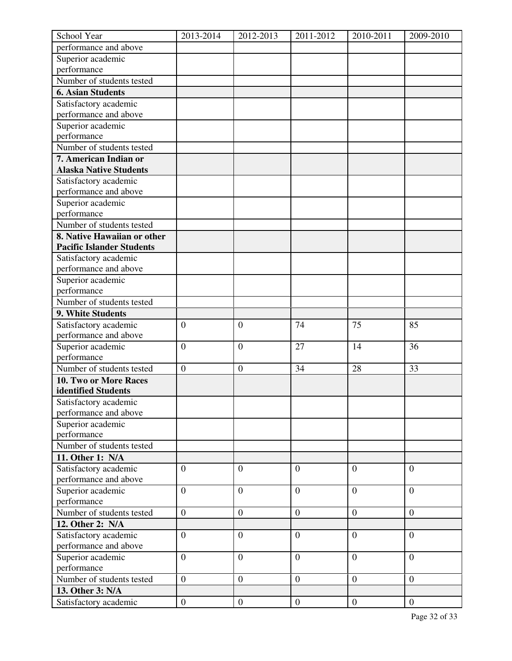| School Year                      | 2013-2014        | 2012-2013        | 2011-2012        | 2010-2011      | 2009-2010        |
|----------------------------------|------------------|------------------|------------------|----------------|------------------|
| performance and above            |                  |                  |                  |                |                  |
| Superior academic                |                  |                  |                  |                |                  |
| performance                      |                  |                  |                  |                |                  |
| Number of students tested        |                  |                  |                  |                |                  |
| <b>6. Asian Students</b>         |                  |                  |                  |                |                  |
| Satisfactory academic            |                  |                  |                  |                |                  |
| performance and above            |                  |                  |                  |                |                  |
| Superior academic                |                  |                  |                  |                |                  |
| performance                      |                  |                  |                  |                |                  |
| Number of students tested        |                  |                  |                  |                |                  |
| 7. American Indian or            |                  |                  |                  |                |                  |
| <b>Alaska Native Students</b>    |                  |                  |                  |                |                  |
| Satisfactory academic            |                  |                  |                  |                |                  |
| performance and above            |                  |                  |                  |                |                  |
| Superior academic                |                  |                  |                  |                |                  |
| performance                      |                  |                  |                  |                |                  |
| Number of students tested        |                  |                  |                  |                |                  |
| 8. Native Hawaiian or other      |                  |                  |                  |                |                  |
| <b>Pacific Islander Students</b> |                  |                  |                  |                |                  |
| Satisfactory academic            |                  |                  |                  |                |                  |
| performance and above            |                  |                  |                  |                |                  |
| Superior academic                |                  |                  |                  |                |                  |
| performance                      |                  |                  |                  |                |                  |
| Number of students tested        |                  |                  |                  |                |                  |
| 9. White Students                |                  |                  |                  |                |                  |
| Satisfactory academic            | $\overline{0}$   | $\overline{0}$   | 74               | 75             | 85               |
| performance and above            |                  |                  |                  |                |                  |
| Superior academic                | $\mathbf{0}$     | $\boldsymbol{0}$ | 27               | 14             | 36               |
| performance                      |                  |                  |                  |                |                  |
| Number of students tested        | $\boldsymbol{0}$ | $\boldsymbol{0}$ | 34               | 28             | 33               |
| 10. Two or More Races            |                  |                  |                  |                |                  |
| identified Students              |                  |                  |                  |                |                  |
| Satisfactory academic            |                  |                  |                  |                |                  |
| performance and above            |                  |                  |                  |                |                  |
| Superior academic                |                  |                  |                  |                |                  |
| performance                      |                  |                  |                  |                |                  |
| Number of students tested        |                  |                  |                  |                |                  |
| 11. Other 1: N/A                 |                  |                  |                  |                |                  |
| Satisfactory academic            | $\overline{0}$   | $\overline{0}$   | $\overline{0}$   | $\overline{0}$ | $\overline{0}$   |
| performance and above            |                  |                  |                  |                |                  |
| Superior academic                | $\overline{0}$   | $\overline{0}$   | $\overline{0}$   | $\overline{0}$ | $\overline{0}$   |
| performance                      |                  |                  |                  |                |                  |
| Number of students tested        | $\overline{0}$   | $\boldsymbol{0}$ | $\boldsymbol{0}$ | $\overline{0}$ | $\boldsymbol{0}$ |
| 12. Other 2: N/A                 |                  |                  |                  |                |                  |
| Satisfactory academic            | $\overline{0}$   | $\overline{0}$   | $\overline{0}$   | $\theta$       | $\overline{0}$   |
| performance and above            |                  |                  |                  |                |                  |
| Superior academic                | $\boldsymbol{0}$ | $\boldsymbol{0}$ | $\boldsymbol{0}$ | $\overline{0}$ | $\overline{0}$   |
| performance                      |                  |                  |                  |                |                  |
| Number of students tested        | $\overline{0}$   | $\overline{0}$   | $\overline{0}$   | $\overline{0}$ | $\theta$         |
| 13. Other 3: N/A                 |                  |                  |                  |                |                  |
| Satisfactory academic            | $\overline{0}$   | $\boldsymbol{0}$ | $\mathbf{0}$     | $\mathbf{0}$   | $\mathbf{0}$     |
|                                  |                  |                  |                  |                |                  |